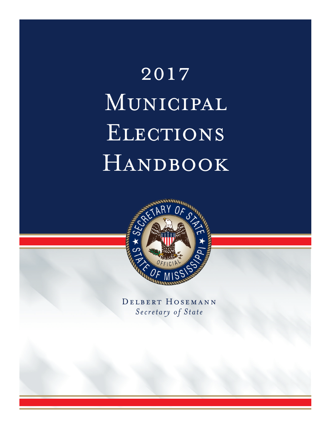# 2017 Municipal ELECTIONS HANDBOOK



Delbert Hosemann *Secretary of State*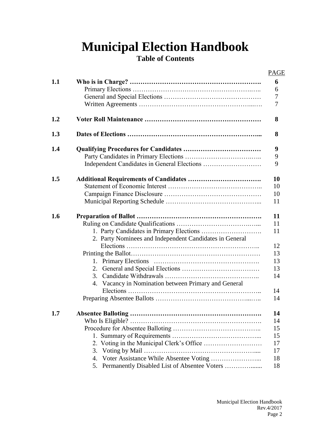# **Municipal Election Handbook**

# **Table of Contents**

|     |                                                         | <b>PAGE</b> |
|-----|---------------------------------------------------------|-------------|
| 1.1 |                                                         | 6           |
|     |                                                         | 6           |
|     |                                                         | 7           |
|     |                                                         | 7           |
| 1.2 |                                                         | 8           |
| 1.3 |                                                         | 8           |
| 1.4 |                                                         | 9           |
|     |                                                         | 9           |
|     |                                                         | 9           |
| 1.5 |                                                         | 10          |
|     |                                                         | 10          |
|     |                                                         | 10          |
|     |                                                         | 11          |
| 1.6 |                                                         | 11          |
|     |                                                         | 11          |
|     |                                                         | 11          |
|     | 2. Party Nominees and Independent Candidates in General |             |
|     |                                                         | 12          |
|     |                                                         | 13          |
|     |                                                         | 13          |
|     |                                                         | 13          |
|     | 3.                                                      | 14          |
|     | 4. Vacancy in Nomination between Primary and General    |             |
|     |                                                         | 14          |
|     |                                                         | 14          |
| 1.7 |                                                         | 14          |
|     |                                                         | 14          |
|     |                                                         | 15          |
|     |                                                         | 15          |
|     |                                                         | 17          |
|     | 3.                                                      | 17          |
|     | 4.                                                      | 18          |
|     | Permanently Disabled List of Absentee Voters<br>5.      | 18          |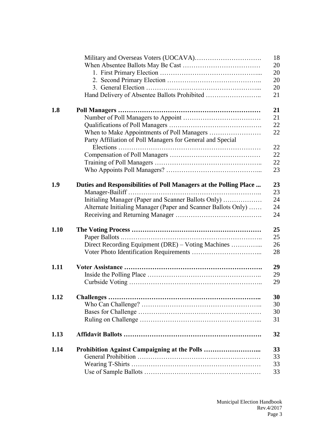|      |                                                                   | 18 |
|------|-------------------------------------------------------------------|----|
|      |                                                                   | 20 |
|      |                                                                   | 20 |
|      |                                                                   | 20 |
|      |                                                                   | 20 |
|      |                                                                   | 21 |
|      |                                                                   | 21 |
| 1.8  |                                                                   | 21 |
|      |                                                                   |    |
|      |                                                                   | 22 |
|      |                                                                   | 22 |
|      | Party Affiliation of Poll Managers for General and Special        | 22 |
|      |                                                                   | 22 |
|      |                                                                   | 22 |
|      |                                                                   | 23 |
|      |                                                                   |    |
| 1.9  | Duties and Responsibilities of Poll Managers at the Polling Place | 23 |
|      |                                                                   | 23 |
|      | Initialing Manager (Paper and Scanner Ballots Only)               | 24 |
|      | Alternate Initialing Manager (Paper and Scanner Ballots Only)     | 24 |
|      |                                                                   | 24 |
|      |                                                                   |    |
| 1.10 |                                                                   | 25 |
|      |                                                                   | 25 |
|      | Direct Recording Equipment (DRE) – Voting Machines                | 26 |
|      |                                                                   | 28 |
|      |                                                                   |    |
| 1.11 |                                                                   | 29 |
|      |                                                                   | 29 |
|      |                                                                   | 29 |
|      |                                                                   |    |
| 1.12 | Challenges                                                        | 30 |
|      |                                                                   | 30 |
|      |                                                                   | 30 |
|      |                                                                   | 31 |
| 1.13 |                                                                   | 32 |
| 1.14 |                                                                   | 33 |
|      |                                                                   | 33 |
|      |                                                                   | 33 |
|      |                                                                   | 33 |
|      |                                                                   |    |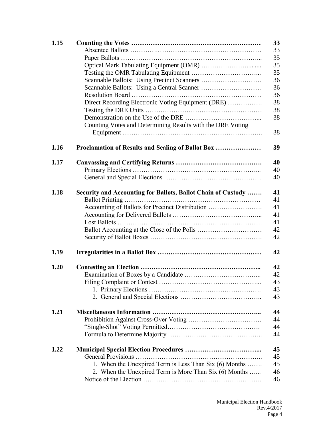| 1.15 |                                                              |
|------|--------------------------------------------------------------|
|      |                                                              |
|      |                                                              |
|      |                                                              |
|      |                                                              |
|      |                                                              |
|      |                                                              |
|      |                                                              |
|      |                                                              |
|      | Direct Recording Electronic Voting Equipment (DRE)           |
|      |                                                              |
|      |                                                              |
|      | Counting Votes and Determining Results with the DRE Voting   |
|      |                                                              |
|      |                                                              |
| 1.16 | Proclamation of Results and Sealing of Ballot Box            |
|      |                                                              |
| 1.17 |                                                              |
|      |                                                              |
|      |                                                              |
|      |                                                              |
| 1.18 | Security and Accounting for Ballots, Ballot Chain of Custody |
|      |                                                              |
|      | Accounting of Ballots for Precinct Distribution              |
|      |                                                              |
|      |                                                              |
|      |                                                              |
|      |                                                              |
|      |                                                              |
| 1.19 |                                                              |
|      |                                                              |
| 1.20 |                                                              |
|      |                                                              |
|      |                                                              |
|      |                                                              |
|      |                                                              |
|      |                                                              |
| 1.21 |                                                              |
|      |                                                              |
|      |                                                              |
|      |                                                              |
|      |                                                              |
|      |                                                              |
| 1.22 |                                                              |
|      |                                                              |
|      | 1. When the Unexpired Term is Less Than Six (6) Months       |
|      | 2. When the Unexpired Term is More Than Six (6) Months       |
|      |                                                              |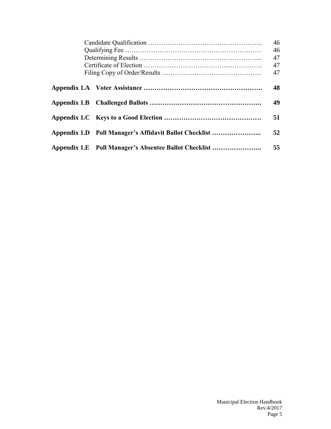|                                                        | 46<br>46<br>47<br>47 |
|--------------------------------------------------------|----------------------|
|                                                        | 47                   |
|                                                        | 48                   |
|                                                        | 49                   |
|                                                        | 51                   |
| Appendix 1.D Poll Manager's Affidavit Ballot Checklist | 52                   |
| Appendix 1.E Poll Manager's Absentee Ballot Checklist  | 55                   |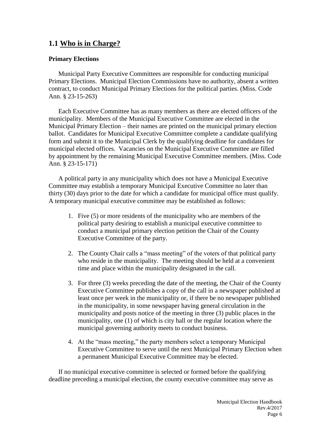# **1.1 Who is in Charge?**

#### **Primary Elections**

Municipal Party Executive Committees are responsible for conducting municipal Primary Elections. Municipal Election Commissions have no authority, absent a written contract, to conduct Municipal Primary Elections for the political parties. (Miss. Code Ann. § 23-15-263)

Each Executive Committee has as many members as there are elected officers of the municipality. Members of the Municipal Executive Committee are elected in the Municipal Primary Election – their names are printed on the municipal primary election ballot. Candidates for Municipal Executive Committee complete a candidate qualifying form and submit it to the Municipal Clerk by the qualifying deadline for candidates for municipal elected offices. Vacancies on the Municipal Executive Committee are filled by appointment by the remaining Municipal Executive Committee members. (Miss. Code Ann. § 23-15-171)

A political party in any municipality which does not have a Municipal Executive Committee may establish a temporary Municipal Executive Committee no later than thirty (30) days prior to the date for which a candidate for municipal office must qualify. A temporary municipal executive committee may be established as follows:

- 1. Five (5) or more residents of the municipality who are members of the political party desiring to establish a municipal executive committee to conduct a municipal primary election petition the Chair of the County Executive Committee of the party.
- 2. The County Chair calls a "mass meeting" of the voters of that political party who reside in the municipality. The meeting should be held at a convenient time and place within the municipality designated in the call.
- 3. For three (3) weeks preceding the date of the meeting, the Chair of the County Executive Committee publishes a copy of the call in a newspaper published at least once per week in the municipality or, if there be no newspaper published in the municipality, in some newspaper having general circulation in the municipality and posts notice of the meeting in three (3) public places in the municipality, one (1) of which is city hall or the regular location where the municipal governing authority meets to conduct business.
- 4. At the "mass meeting," the party members select a temporary Municipal Executive Committee to serve until the next Municipal Primary Election when a permanent Municipal Executive Committee may be elected.

If no municipal executive committee is selected or formed before the qualifying deadline preceding a municipal election, the county executive committee may serve as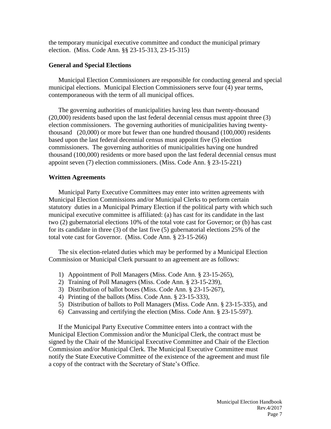the temporary municipal executive committee and conduct the municipal primary election. (Miss. Code Ann. §§ 23-15-313, 23-15-315)

#### **General and Special Elections**

Municipal Election Commissioners are responsible for conducting general and special municipal elections. Municipal Election Commissioners serve four (4) year terms, contemporaneous with the term of all municipal offices.

The governing authorities of municipalities having less than twenty-thousand (20,000) residents based upon the last federal decennial census must appoint three (3) election commissioners. The governing authorities of municipalities having twentythousand (20,000) or more but fewer than one hundred thousand (100,000) residents based upon the last federal decennial census must appoint five (5) election commissioners. The governing authorities of municipalities having one hundred thousand (100,000) residents or more based upon the last federal decennial census must appoint seven (7) election commissioners. (Miss. Code Ann. § 23-15-221)

#### **Written Agreements**

Municipal Party Executive Committees may enter into written agreements with Municipal Election Commissions and/or Municipal Clerks to perform certain statutory duties in a Municipal Primary Election if the political party with which such municipal executive committee is affiliated: (a) has cast for its candidate in the last two (2) gubernatorial elections 10% of the total vote cast for Governor; or (b) has cast for its candidate in three (3) of the last five (5) gubernatorial elections 25% of the total vote cast for Governor. (Miss. Code Ann. § 23-15-266)

The six election-related duties which may be performed by a Municipal Election Commission or Municipal Clerk pursuant to an agreement are as follows:

- 1) Appointment of Poll Managers (Miss. Code Ann. § 23-15-265),
- 2) Training of Poll Managers (Miss. Code Ann. § 23-15-239),
- 3) Distribution of ballot boxes (Miss. Code Ann. § 23-15-267),
- 4) Printing of the ballots (Miss. Code Ann. § 23-15-333),
- 5) Distribution of ballots to Poll Managers (Miss. Code Ann. § 23-15-335), and
- 6) Canvassing and certifying the election (Miss. Code Ann. § 23-15-597).

If the Municipal Party Executive Committee enters into a contract with the Municipal Election Commission and/or the Municipal Clerk, the contract must be signed by the Chair of the Municipal Executive Committee and Chair of the Election Commission and/or Municipal Clerk. The Municipal Executive Committee must notify the State Executive Committee of the existence of the agreement and must file a copy of the contract with the Secretary of State's Office.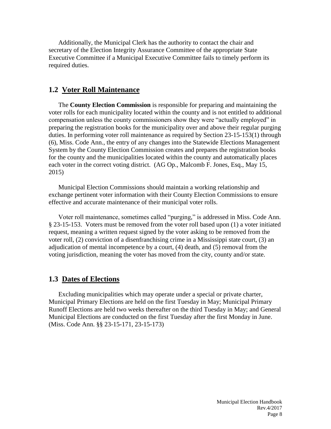Additionally, the Municipal Clerk has the authority to contact the chair and secretary of the Election Integrity Assurance Committee of the appropriate State Executive Committee if a Municipal Executive Committee fails to timely perform its required duties.

#### **1.2 Voter Roll Maintenance**

The **County Election Commission** is responsible for preparing and maintaining the voter rolls for each municipality located within the county and is not entitled to additional compensation unless the county commissioners show they were "actually employed" in preparing the registration books for the municipality over and above their regular purging duties. In performing voter roll maintenance as required by Section 23-15-153(1) through (6), Miss. Code Ann., the entry of any changes into the Statewide Elections Management System by the County Election Commission creates and prepares the registration books for the county and the municipalities located within the county and automatically places each voter in the correct voting district. (AG Op., Malcomb F. Jones, Esq., May 15, 2015)

Municipal Election Commissions should maintain a working relationship and exchange pertinent voter information with their County Election Commissions to ensure effective and accurate maintenance of their municipal voter rolls.

Voter roll maintenance, sometimes called "purging," is addressed in Miss. Code Ann. § 23-15-153. Voters must be removed from the voter roll based upon (1) a voter initiated request, meaning a written request signed by the voter asking to be removed from the voter roll, (2) conviction of a disenfranchising crime in a Mississippi state court, (3) an adjudication of mental incompetence by a court, (4) death, and (5) removal from the voting jurisdiction, meaning the voter has moved from the city, county and/or state.

#### **1.3 Dates of Elections**

Excluding municipalities which may operate under a special or private charter, Municipal Primary Elections are held on the first Tuesday in May; Municipal Primary Runoff Elections are held two weeks thereafter on the third Tuesday in May; and General Municipal Elections are conducted on the first Tuesday after the first Monday in June. (Miss. Code Ann. §§ 23-15-171, 23-15-173)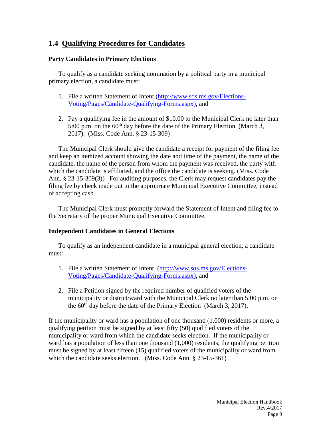# **1.4 Qualifying Procedures for Candidates**

#### **Party Candidates in Primary Elections**

To qualify as a candidate seeking nomination by a political party in a municipal primary election, a candidate must:

- 1. File a written Statement of Intent [\(http://www.sos.ms.gov/Elections-](http://www.sos.ms.gov/Elections-Voting/Pages/Candidate-Qualifying-Forms.aspx)[Voting/Pages/Candidate-Qualifying-Forms.aspx\)](http://www.sos.ms.gov/Elections-Voting/Pages/Candidate-Qualifying-Forms.aspx), and
- 2. Pay a qualifying fee in the amount of \$10.00 to the Municipal Clerk no later than 5:00 p.m. on the  $60<sup>th</sup>$  day before the date of the Primary Election (March 3, 2017). (Miss. Code Ann. § 23-15-309)

The Municipal Clerk should give the candidate a receipt for payment of the filing fee and keep an itemized account showing the date and time of the payment, the name of the candidate, the name of the person from whom the payment was received, the party with which the candidate is affiliated, and the office the candidate is seeking. (Miss. Code Ann. § 23-15-309(3)) For auditing purposes, the Clerk may request candidates pay the filing fee by check made out to the appropriate Municipal Executive Committee, instead of accepting cash.

The Municipal Clerk must promptly forward the Statement of Intent and filing fee to the Secretary of the proper Municipal Executive Committee.

#### **Independent Candidates in General Elections**

To qualify as an independent candidate in a municipal general election, a candidate must:

- 1. File a written Statement of Intent [\(http://www.sos.ms.gov/Elections-](http://www.sos.ms.gov/Elections-Voting/Pages/Candidate-Qualifying-Forms.aspx)[Voting/Pages/Candidate-Qualifying-Forms.aspx\)](http://www.sos.ms.gov/Elections-Voting/Pages/Candidate-Qualifying-Forms.aspx), and
- 2. File a Petition signed by the required number of qualified voters of the municipality or district/ward with the Municipal Clerk no later than 5:00 p.m. on the  $60<sup>th</sup>$  day before the date of the Primary Election (March 3, 2017).

If the municipality or ward has a population of one thousand (1,000) residents or more, a qualifying petition must be signed by at least fifty (50) qualified voters of the municipality or ward from which the candidate seeks election. If the municipality or ward has a population of less than one thousand (1,000) residents, the qualifying petition must be signed by at least fifteen (15) qualified voters of the municipality or ward from which the candidate seeks election. (Miss. Code Ann. § 23-15-361)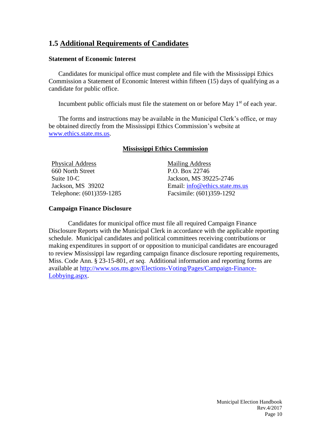# **1.5 Additional Requirements of Candidates**

#### **Statement of Economic Interest**

Candidates for municipal office must complete and file with the Mississippi Ethics Commission a Statement of Economic Interest within fifteen (15) days of qualifying as a candidate for public office.

Incumbent public officials must file the statement on or before May  $1<sup>st</sup>$  of each year.

The forms and instructions may be available in the Municipal Clerk's office, or may be obtained directly from the Mississippi Ethics Commission's website at [www.ethics.state.ms.us.](http://www.ethics.state.ms.us/)

#### **Mississippi Ethics Commission**

Physical Address 660 North Street Suite 10-C Jackson, MS 39202 Telephone: (601)359-1285 Mailing Address P.O. Box 22746 Jackson, MS 39225-2746 Email: [info@ethics.state.ms.us](mailto:info@ethics.state.ms.us) Facsimile: (601)359-1292

#### **Campaign Finance Disclosure**

Candidates for municipal office must file all required Campaign Finance Disclosure Reports with the Municipal Clerk in accordance with the applicable reporting schedule. Municipal candidates and political committees receiving contributions or making expenditures in support of or opposition to municipal candidates are encouraged to review Mississippi law regarding campaign finance disclosure reporting requirements, Miss. Code Ann. § 23-15-801, *et seq.* Additional information and reporting forms are available at [http://www.sos.ms.gov/Elections-Voting/Pages/Campaign-Finance-](http://www.sos.ms.gov/Elections-Voting/Pages/Campaign-Finance-Lobbying.aspx)[Lobbying.aspx.](http://www.sos.ms.gov/Elections-Voting/Pages/Campaign-Finance-Lobbying.aspx)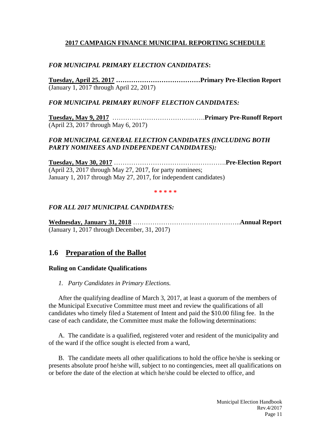#### **2017 CAMPAIGN FINANCE MUNICIPAL REPORTING SCHEDULE**

#### *FOR MUNICIPAL PRIMARY ELECTION CANDIDATES***:**

**Tuesday, April 25. 2017 …………………………………Primary Pre-Election Report** (January 1, 2017 through April 22, 2017)

#### *FOR MUNICIPAL PRIMARY RUNOFF ELECTION CANDIDATES:*

**Tuesday, May 9, 2017** …………………………………….**Primary Pre-Runoff Report** (April 23, 2017 through May 6, 2017)

#### *FOR MUNICIPAL GENERAL ELECTION CANDIDATES (INCLUDING BOTH PARTY NOMINEES AND INDEPENDENT CANDIDATES):*

**Tuesday, May 30, 2017** …………………………………………….**Pre-Election Report** (April 23, 2017 through May 27, 2017, for party nominees; January 1, 2017 through May 27, 2017, for independent candidates)

**\* \* \* \* \***

#### *FOR ALL 2017 MUNICIPAL CANDIDATES:*

**Wednesday, January 31, 2018** …………………………………………..**Annual Report** (January 1, 2017 through December, 31, 2017)

# **1.6 Preparation of the Ballot**

#### **Ruling on Candidate Qualifications**

*1. Party Candidates in Primary Elections.*

After the qualifying deadline of March 3, 2017, at least a quorum of the members of the Municipal Executive Committee must meet and review the qualifications of all candidates who timely filed a Statement of Intent and paid the \$10.00 filing fee. In the case of each candidate, the Committee must make the following determinations:

A. The candidate is a qualified, registered voter and resident of the municipality and of the ward if the office sought is elected from a ward,

B. The candidate meets all other qualifications to hold the office he/she is seeking or presents absolute proof he/she will, subject to no contingencies, meet all qualifications on or before the date of the election at which he/she could be elected to office, and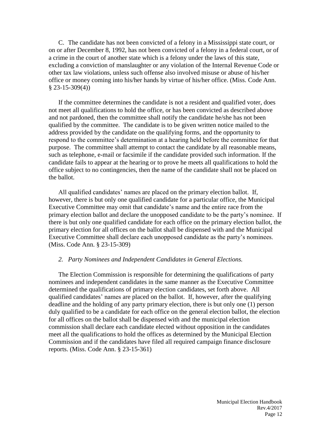C. The candidate has not been convicted of a felony in a Mississippi state court, or on or after December 8, 1992, has not been convicted of a felony in a federal court, or of a crime in the court of another state which is a felony under the laws of this state, excluding a conviction of manslaughter or any violation of the Internal Revenue Code or other tax law violations, unless such offense also involved misuse or abuse of his/her office or money coming into his/her hands by virtue of his/her office. (Miss. Code Ann. § 23-15-309(4))

If the committee determines the candidate is not a resident and qualified voter, does not meet all qualifications to hold the office, or has been convicted as described above and not pardoned, then the committee shall notify the candidate he/she has not been qualified by the committee. The candidate is to be given written notice mailed to the address provided by the candidate on the qualifying forms, and the opportunity to respond to the committee's determination at a hearing held before the committee for that purpose. The committee shall attempt to contact the candidate by all reasonable means, such as telephone, e-mail or facsimile if the candidate provided such information. If the candidate fails to appear at the hearing or to prove he meets all qualifications to hold the office subject to no contingencies, then the name of the candidate shall not be placed on the ballot.

All qualified candidates' names are placed on the primary election ballot. If, however, there is but only one qualified candidate for a particular office, the Municipal Executive Committee may omit that candidate's name and the entire race from the primary election ballot and declare the unopposed candidate to be the party's nominee. If there is but only one qualified candidate for each office on the primary election ballot, the primary election for all offices on the ballot shall be dispensed with and the Municipal Executive Committee shall declare each unopposed candidate as the party's nominees. (Miss. Code Ann. § 23-15-309)

#### *2. Party Nominees and Independent Candidates in General Elections.*

The Election Commission is responsible for determining the qualifications of party nominees and independent candidates in the same manner as the Executive Committee determined the qualifications of primary election candidates, set forth above. All qualified candidates' names are placed on the ballot. If, however, after the qualifying deadline and the holding of any party primary election, there is but only one (1) person duly qualified to be a candidate for each office on the general election ballot, the election for all offices on the ballot shall be dispensed with and the municipal election commission shall declare each candidate elected without opposition in the candidates meet all the qualifications to hold the offices as determined by the Municipal Election Commission and if the candidates have filed all required campaign finance disclosure reports. (Miss. Code Ann. § 23-15-361)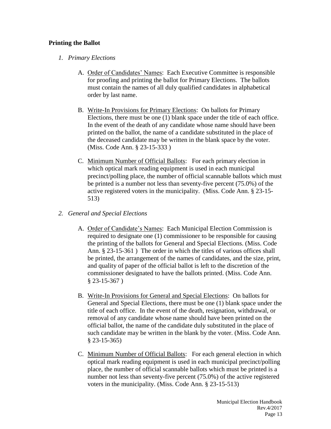#### **Printing the Ballot**

#### *1. Primary Elections*

- A. Order of Candidates' Names: Each Executive Committee is responsible for proofing and printing the ballot for Primary Elections. The ballots must contain the names of all duly qualified candidates in alphabetical order by last name.
- B. Write-In Provisions for Primary Elections: On ballots for Primary Elections, there must be one (1) blank space under the title of each office. In the event of the death of any candidate whose name should have been printed on the ballot, the name of a candidate substituted in the place of the deceased candidate may be written in the blank space by the voter. (Miss. Code Ann. § 23-15-333 )
- C. Minimum Number of Official Ballots: For each primary election in which optical mark reading equipment is used in each municipal precinct/polling place, the number of official scannable ballots which must be printed is a number not less than seventy-five percent (75.0%) of the active registered voters in the municipality. (Miss. Code Ann. § 23-15- 513)

#### *2. General and Special Elections*

- A. Order of Candidate's Names: Each Municipal Election Commission is required to designate one (1) commissioner to be responsible for causing the printing of the ballots for General and Special Elections. (Miss. Code Ann. § 23-15-361 ) The order in which the titles of various offices shall be printed, the arrangement of the names of candidates, and the size, print, and quality of paper of the official ballot is left to the discretion of the commissioner designated to have the ballots printed. (Miss. Code Ann. § 23-15-367 )
- B. Write-In Provisions for General and Special Elections: On ballots for General and Special Elections, there must be one (1) blank space under the title of each office. In the event of the death, resignation, withdrawal, or removal of any candidate whose name should have been printed on the official ballot, the name of the candidate duly substituted in the place of such candidate may be written in the blank by the voter. (Miss. Code Ann. § 23-15-365)
- C. Minimum Number of Official Ballots: For each general election in which optical mark reading equipment is used in each municipal precinct/polling place, the number of official scannable ballots which must be printed is a number not less than seventy-five percent (75.0%) of the active registered voters in the municipality. (Miss. Code Ann. § 23-15-513)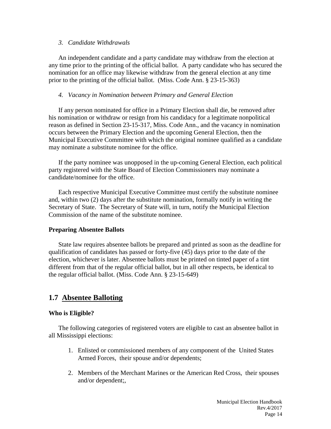#### *3. Candidate Withdrawals*

An independent candidate and a party candidate may withdraw from the election at any time prior to the printing of the official ballot. A party candidate who has secured the nomination for an office may likewise withdraw from the general election at any time prior to the printing of the official ballot. (Miss. Code Ann. § 23-15-363)

#### *4. Vacancy in Nomination between Primary and General Election*

If any person nominated for office in a Primary Election shall die, be removed after his nomination or withdraw or resign from his candidacy for a legitimate nonpolitical reason as defined in Section 23-15-317, Miss. Code Ann., and the vacancy in nomination occurs between the Primary Election and the upcoming General Election, then the Municipal Executive Committee with which the original nominee qualified as a candidate may nominate a substitute nominee for the office.

If the party nominee was unopposed in the up-coming General Election, each political party registered with the State Board of Election Commissioners may nominate a candidate/nominee for the office.

Each respective Municipal Executive Committee must certify the substitute nominee and, within two (2) days after the substitute nomination, formally notify in writing the Secretary of State. The Secretary of State will, in turn, notify the Municipal Election Commission of the name of the substitute nominee.

#### **Preparing Absentee Ballots**

State law requires absentee ballots be prepared and printed as soon as the deadline for qualification of candidates has passed or forty-five (45) days prior to the date of the election, whichever is later. Absentee ballots must be printed on tinted paper of a tint different from that of the regular official ballot, but in all other respects, be identical to the regular official ballot. (Miss. Code Ann. § 23-15-649)

# **1.7 Absentee Balloting**

#### **Who is Eligible?**

The following categories of registered voters are eligible to cast an absentee ballot in all Mississippi elections:

- 1. Enlisted or commissioned members of any component of the United States Armed Forces, their spouse and/or dependents;
- 2. Members of the Merchant Marines or the American Red Cross, their spouses and/or dependent;,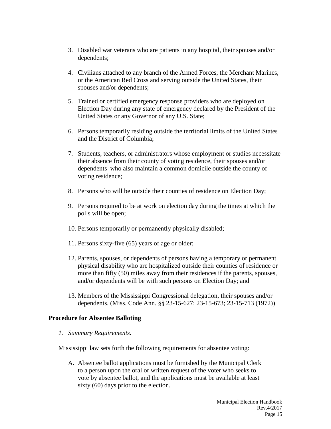- 3. Disabled war veterans who are patients in any hospital, their spouses and/or dependents;
- 4. Civilians attached to any branch of the Armed Forces, the Merchant Marines, or the American Red Cross and serving outside the United States, their spouses and/or dependents;
- 5. Trained or certified emergency response providers who are deployed on Election Day during any state of emergency declared by the President of the United States or any Governor of any U.S. State;
- 6. Persons temporarily residing outside the territorial limits of the United States and the District of Columbia;
- 7. Students, teachers, or administrators whose employment or studies necessitate their absence from their county of voting residence, their spouses and/or dependents who also maintain a common domicile outside the county of voting residence;
- 8. Persons who will be outside their counties of residence on Election Day;
- 9. Persons required to be at work on election day during the times at which the polls will be open;
- 10. Persons temporarily or permanently physically disabled;
- 11. Persons sixty-five (65) years of age or older;
- 12. Parents, spouses, or dependents of persons having a temporary or permanent physical disability who are hospitalized outside their counties of residence or more than fifty (50) miles away from their residences if the parents, spouses, and/or dependents will be with such persons on Election Day; and
- 13. Members of the Mississippi Congressional delegation, their spouses and/or dependents. (Miss. Code Ann. §§ 23-15-627; 23-15-673; 23-15-713 (1972))

#### **Procedure for Absentee Balloting**

*1. Summary Requirements.* 

Mississippi law sets forth the following requirements for absentee voting:

A. Absentee ballot applications must be furnished by the Municipal Clerk to a person upon the oral or written request of the voter who seeks to vote by absentee ballot, and the applications must be available at least sixty (60) days prior to the election.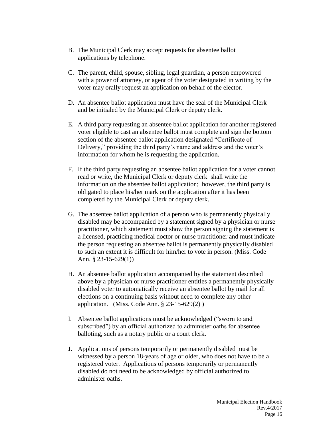- B. The Municipal Clerk may accept requests for absentee ballot applications by telephone.
- C. The parent, child, spouse, sibling, legal guardian, a person empowered with a power of attorney, or agent of the voter designated in writing by the voter may orally request an application on behalf of the elector.
- D. An absentee ballot application must have the seal of the Municipal Clerk and be initialed by the Municipal Clerk or deputy clerk.
- E. A third party requesting an absentee ballot application for another registered voter eligible to cast an absentee ballot must complete and sign the bottom section of the absentee ballot application designated "Certificate of Delivery," providing the third party's name and address and the voter's information for whom he is requesting the application.
- F. If the third party requesting an absentee ballot application for a voter cannot read or write, the Municipal Clerk or deputy clerk shall write the information on the absentee ballot application; however, the third party is obligated to place his/her mark on the application after it has been completed by the Municipal Clerk or deputy clerk.
- G. The absentee ballot application of a person who is permanently physically disabled may be accompanied by a statement signed by a physician or nurse practitioner, which statement must show the person signing the statement is a licensed, practicing medical doctor or nurse practitioner and must indicate the person requesting an absentee ballot is permanently physically disabled to such an extent it is difficult for him/her to vote in person. (Miss. Code Ann. § 23-15-629(1))
- H. An absentee ballot application accompanied by the statement described above by a physician or nurse practitioner entitles a permanently physically disabled voter to automatically receive an absentee ballot by mail for all elections on a continuing basis without need to complete any other application. (Miss. Code Ann. § 23-15-629(2) )
- I. Absentee ballot applications must be acknowledged ("sworn to and subscribed") by an official authorized to administer oaths for absentee balloting, such as a notary public or a court clerk.
- J. Applications of persons temporarily or permanently disabled must be witnessed by a person 18-years of age or older, who does not have to be a registered voter. Applications of persons temporarily or permanently disabled do not need to be acknowledged by official authorized to administer oaths.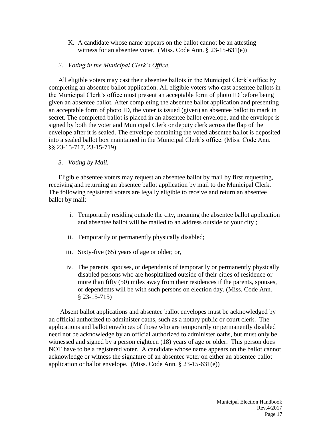- K. A candidate whose name appears on the ballot cannot be an attesting witness for an absentee voter. (Miss. Code Ann. § 23-15-631(e))
- *2. Voting in the Municipal Clerk's Office.*

All eligible voters may cast their absentee ballots in the Municipal Clerk's office by completing an absentee ballot application. All eligible voters who cast absentee ballots in the Municipal Clerk's office must present an acceptable form of photo ID before being given an absentee ballot. After completing the absentee ballot application and presenting an acceptable form of photo ID, the voter is issued (given) an absentee ballot to mark in secret. The completed ballot is placed in an absentee ballot envelope, and the envelope is signed by both the voter and Municipal Clerk or deputy clerk across the flap of the envelope after it is sealed. The envelope containing the voted absentee ballot is deposited into a sealed ballot box maintained in the Municipal Clerk's office. (Miss. Code Ann. §§ 23-15-717, 23-15-719)

#### *3. Voting by Mail.*

Eligible absentee voters may request an absentee ballot by mail by first requesting, receiving and returning an absentee ballot application by mail to the Municipal Clerk. The following registered voters are legally eligible to receive and return an absentee ballot by mail:

- i. Temporarily residing outside the city, meaning the absentee ballot application and absentee ballot will be mailed to an address outside of your city ;
- ii. Temporarily or permanently physically disabled;
- iii. Sixty-five (65) years of age or older; or,
- iv. The parents, spouses, or dependents of temporarily or permanently physically disabled persons who are hospitalized outside of their cities of residence or more than fifty (50) miles away from their residences if the parents, spouses, or dependents will be with such persons on election day. (Miss. Code Ann. § 23-15-715)

Absent ballot applications and absentee ballot envelopes must be acknowledged by an official authorized to administer oaths, such as a notary public or court clerk. The applications and ballot envelopes of those who are temporarily or permanently disabled need not be acknowledge by an official authorized to administer oaths, but must only be witnessed and signed by a person eighteen (18) years of age or older. This person does NOT have to be a registered voter. A candidate whose name appears on the ballot cannot acknowledge or witness the signature of an absentee voter on either an absentee ballot application or ballot envelope. (Miss. Code Ann. § 23-15-631(e))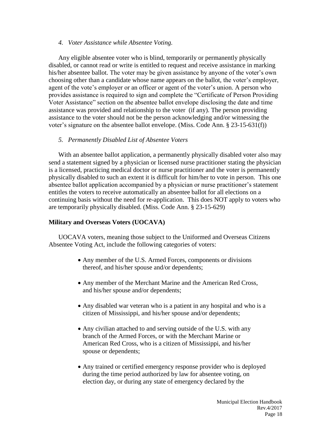#### *4. Voter Assistance while Absentee Voting.*

Any eligible absentee voter who is blind, temporarily or permanently physically disabled, or cannot read or write is entitled to request and receive assistance in marking his/her absentee ballot. The voter may be given assistance by anyone of the voter's own choosing other than a candidate whose name appears on the ballot, the voter's employer, agent of the vote's employer or an officer or agent of the voter's union. A person who provides assistance is required to sign and complete the "Certificate of Person Providing Voter Assistance" section on the absentee ballot envelope disclosing the date and time assistance was provided and relationship to the voter (if any). The person providing assistance to the voter should not be the person acknowledging and/or witnessing the voter's signature on the absentee ballot envelope. (Miss. Code Ann. § 23-15-631(f))

#### *5. Permanently Disabled List of Absentee Voters*

With an absentee ballot application, a permanently physically disabled voter also may send a statement signed by a physician or licensed nurse practitioner stating the physician is a licensed, practicing medical doctor or nurse practitioner and the voter is permanently physically disabled to such an extent it is difficult for him/her to vote in person. This one absentee ballot application accompanied by a physician or nurse practitioner's statement entitles the voters to receive automatically an absentee ballot for all elections on a continuing basis without the need for re-application. This does NOT apply to voters who are temporarily physically disabled. (Miss. Code Ann. § 23-15-629)

#### **Military and Overseas Voters (UOCAVA)**

UOCAVA voters, meaning those subject to the Uniformed and Overseas Citizens Absentee Voting Act, include the following categories of voters:

- Any member of the U.S. Armed Forces, components or divisions thereof, and his/her spouse and/or dependents;
- Any member of the Merchant Marine and the American Red Cross, and his/her spouse and/or dependents;
- Any disabled war veteran who is a patient in any hospital and who is a citizen of Mississippi, and his/her spouse and/or dependents;
- Any civilian attached to and serving outside of the U.S. with any branch of the Armed Forces, or with the Merchant Marine or American Red Cross, who is a citizen of Mississippi, and his/her spouse or dependents;
- Any trained or certified emergency response provider who is deployed during the time period authorized by law for absentee voting, on election day, or during any state of emergency declared by the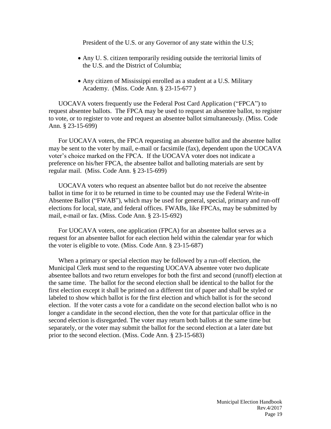President of the U.S. or any Governor of any state within the U.S;

- Any U. S. citizen temporarily residing outside the territorial limits of the U.S. and the District of Columbia;
- Any citizen of Mississippi enrolled as a student at a U.S. Military Academy. (Miss. Code Ann. § 23-15-677 )

UOCAVA voters frequently use the Federal Post Card Application ("FPCA") to request absentee ballots. The FPCA may be used to request an absentee ballot, to register to vote, or to register to vote and request an absentee ballot simultaneously. (Miss. Code Ann. § 23-15-699)

For UOCAVA voters, the FPCA requesting an absentee ballot and the absentee ballot may be sent to the voter by mail, e-mail or facsimile (fax), dependent upon the UOCAVA voter's choice marked on the FPCA. If the UOCAVA voter does not indicate a preference on his/her FPCA, the absentee ballot and balloting materials are sent by regular mail. (Miss. Code Ann. § 23-15-699)

UOCAVA voters who request an absentee ballot but do not receive the absentee ballot in time for it to be returned in time to be counted may use the Federal Write-in Absentee Ballot ("FWAB"), which may be used for general, special, primary and run-off elections for local, state, and federal offices. FWABs, like FPCAs, may be submitted by mail, e-mail or fax. (Miss. Code Ann. § 23-15-692)

For UOCAVA voters, one application (FPCA) for an absentee ballot serves as a request for an absentee ballot for each election held within the calendar year for which the voter is eligible to vote. (Miss. Code Ann. § 23-15-687)

When a primary or special election may be followed by a run-off election, the Municipal Clerk must send to the requesting UOCAVA absentee voter two duplicate absentee ballots and two return envelopes for both the first and second (runoff) election at the same time. The ballot for the second election shall be identical to the ballot for the first election except it shall be printed on a different tint of paper and shall be styled or labeled to show which ballot is for the first election and which ballot is for the second election. If the voter casts a vote for a candidate on the second election ballot who is no longer a candidate in the second election, then the vote for that particular office in the second election is disregarded. The voter may return both ballots at the same time but separately, or the voter may submit the ballot for the second election at a later date but prior to the second election. (Miss. Code Ann. § 23-15-683)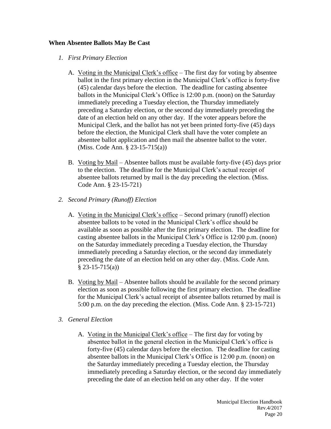#### **When Absentee Ballots May Be Cast**

- *1. First Primary Election*
	- A. Voting in the Municipal Clerk's office The first day for voting by absentee ballot in the first primary election in the Municipal Clerk's office is forty-five (45) calendar days before the election. The deadline for casting absentee ballots in the Municipal Clerk's Office is 12:00 p.m. (noon) on the Saturday immediately preceding a Tuesday election, the Thursday immediately preceding a Saturday election, or the second day immediately preceding the date of an election held on any other day. If the voter appears before the Municipal Clerk, and the ballot has not yet been printed forty-five (45) days before the election, the Municipal Clerk shall have the voter complete an absentee ballot application and then mail the absentee ballot to the voter. (Miss. Code Ann. § 23-15-715(a))
	- B. Voting by Mail Absentee ballots must be available forty-five (45) days prior to the election. The deadline for the Municipal Clerk's actual receipt of absentee ballots returned by mail is the day preceding the election. (Miss. Code Ann. § 23-15-721)
- *2. Second Primary (Runoff) Election*
	- A. Voting in the Municipal Clerk's office Second primary (runoff) election absentee ballots to be voted in the Municipal Clerk's office should be available as soon as possible after the first primary election. The deadline for casting absentee ballots in the Municipal Clerk's Office is 12:00 p.m. (noon) on the Saturday immediately preceding a Tuesday election, the Thursday immediately preceding a Saturday election, or the second day immediately preceding the date of an election held on any other day. (Miss. Code Ann.  $§$  23-15-715(a))
	- B. Voting by Mail Absentee ballots should be available for the second primary election as soon as possible following the first primary election. The deadline for the Municipal Clerk's actual receipt of absentee ballots returned by mail is 5:00 p.m. on the day preceding the election. (Miss. Code Ann. § 23-15-721)
- *3. General Election*
	- A. Voting in the Municipal Clerk's office The first day for voting by absentee ballot in the general election in the Municipal Clerk's office is forty-five (45) calendar days before the election. The deadline for casting absentee ballots in the Municipal Clerk's Office is 12:00 p.m. (noon) on the Saturday immediately preceding a Tuesday election, the Thursday immediately preceding a Saturday election, or the second day immediately preceding the date of an election held on any other day. If the voter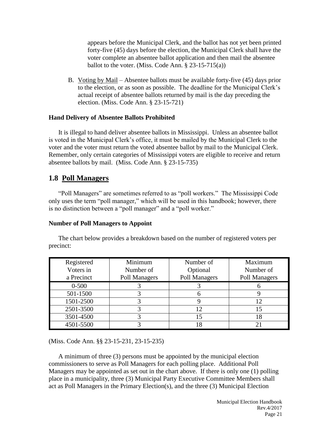appears before the Municipal Clerk, and the ballot has not yet been printed forty-five (45) days before the election, the Municipal Clerk shall have the voter complete an absentee ballot application and then mail the absentee ballot to the voter. (Miss. Code Ann.  $\S$  23-15-715(a))

B. Voting by Mail – Absentee ballots must be available forty-five (45) days prior to the election, or as soon as possible. The deadline for the Municipal Clerk's actual receipt of absentee ballots returned by mail is the day preceding the election. (Miss. Code Ann. § 23-15-721)

#### **Hand Delivery of Absentee Ballots Prohibited**

It is illegal to hand deliver absentee ballots in Mississippi. Unless an absentee ballot is voted in the Municipal Clerk's office, it must be mailed by the Municipal Clerk to the voter and the voter must return the voted absentee ballot by mail to the Municipal Clerk. Remember, only certain categories of Mississippi voters are eligible to receive and return absentee ballots by mail. (Miss. Code Ann. § 23-15-735)

# **1.8 Poll Managers**

"Poll Managers" are sometimes referred to as "poll workers." The Mississippi Code only uses the term "poll manager," which will be used in this handbook; however, there is no distinction between a "poll manager" and a "poll worker."

#### **Number of Poll Managers to Appoint**

The chart below provides a breakdown based on the number of registered voters per precinct:

| Registered<br>Voters in<br>a Precinct | Minimum<br>Number of<br>Poll Managers | Number of<br>Optional<br>Poll Managers | Maximum<br>Number of<br>Poll Managers |
|---------------------------------------|---------------------------------------|----------------------------------------|---------------------------------------|
| $0 - 500$                             |                                       |                                        |                                       |
| 501-1500                              |                                       |                                        |                                       |
| 1501-2500                             |                                       |                                        |                                       |
| 2501-3500                             |                                       |                                        |                                       |
| 3501-4500                             |                                       |                                        |                                       |
| 4501-5500                             |                                       |                                        |                                       |

(Miss. Code Ann. §§ 23-15-231, 23-15-235)

A minimum of three (3) persons must be appointed by the municipal election commissioners to serve as Poll Managers for each polling place. Additional Poll Managers may be appointed as set out in the chart above. If there is only one (1) polling place in a municipality, three (3) Municipal Party Executive Committee Members shall act as Poll Managers in the Primary Election(s), and the three (3) Municipal Election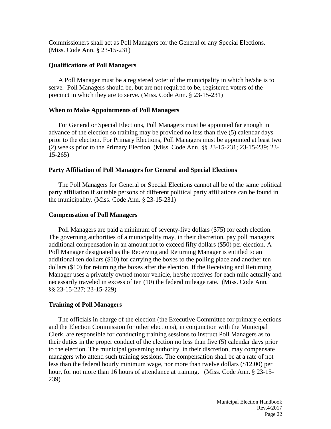Commissioners shall act as Poll Managers for the General or any Special Elections. (Miss. Code Ann. § 23-15-231)

#### **Qualifications of Poll Managers**

A Poll Manager must be a registered voter of the municipality in which he/she is to serve. Poll Managers should be, but are not required to be, registered voters of the precinct in which they are to serve. (Miss. Code Ann. § 23-15-231)

#### **When to Make Appointments of Poll Managers**

For General or Special Elections, Poll Managers must be appointed far enough in advance of the election so training may be provided no less than five (5) calendar days prior to the election. For Primary Elections, Poll Managers must be appointed at least two (2) weeks prior to the Primary Election. (Miss. Code Ann. §§ 23-15-231; 23-15-239; 23- 15-265)

#### **Party Affiliation of Poll Managers for General and Special Elections**

The Poll Managers for General or Special Elections cannot all be of the same political party affiliation if suitable persons of different political party affiliations can be found in the municipality. (Miss. Code Ann. § 23-15-231)

#### **Compensation of Poll Managers**

Poll Managers are paid a minimum of seventy-five dollars (\$75) for each election. The governing authorities of a municipality may, in their discretion, pay poll managers additional compensation in an amount not to exceed fifty dollars (\$50) per election. A Poll Manager designated as the Receiving and Returning Manager is entitled to an additional ten dollars (\$10) for carrying the boxes to the polling place and another ten dollars (\$10) for returning the boxes after the election. If the Receiving and Returning Manager uses a privately owned motor vehicle, he/she receives for each mile actually and necessarily traveled in excess of ten (10) the federal mileage rate. (Miss. Code Ann. §§ 23-15-227; 23-15-229)

#### **Training of Poll Managers**

The officials in charge of the election (the Executive Committee for primary elections and the Election Commission for other elections), in conjunction with the Municipal Clerk, are responsible for conducting training sessions to instruct Poll Managers as to their duties in the proper conduct of the election no less than five (5) calendar days prior to the election. The municipal governing authority, in their discretion, may compensate managers who attend such training sessions. The compensation shall be at a rate of not less than the federal hourly minimum wage, nor more than twelve dollars (\$12.00) per hour, for not more than 16 hours of attendance at training. (Miss. Code Ann. § 23-15- 239)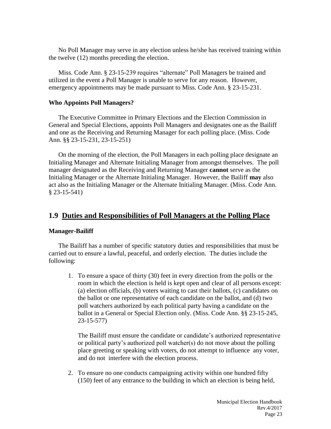No Poll Manager may serve in any election unless he/she has received training within the twelve (12) months preceding the election.

Miss. Code Ann. § 23-15-239 requires "alternate" Poll Managers be trained and utilized in the event a Poll Manager is unable to serve for any reason. However, emergency appointments may be made pursuant to Miss. Code Ann. § 23-15-231.

#### **Who Appoints Poll Managers?**

The Executive Committee in Primary Elections and the Election Commission in General and Special Elections, appoints Poll Managers and designates one as the Bailiff and one as the Receiving and Returning Manager for each polling place. (Miss. Code Ann. §§ 23-15-231, 23-15-251)

On the morning of the election, the Poll Managers in each polling place designate an Initialing Manager and Alternate Initialing Manager from amongst themselves. The poll manager designated as the Receiving and Returning Manager **cannot** serve as the Initialing Manager or the Alternate Initialing Manager. However, the Bailiff **may** also act also as the Initialing Manager or the Alternate Initialing Manager. (Miss. Code Ann. § 23-15-541)

# **1.9 Duties and Responsibilities of Poll Managers at the Polling Place**

#### **Manager-Bailiff**

The Bailiff has a number of specific statutory duties and responsibilities that must be carried out to ensure a lawful, peaceful, and orderly election. The duties include the following:

1. To ensure a space of thirty (30) feet in every direction from the polls or the room in which the election is held is kept open and clear of all persons except: (a) election officials, (b) voters waiting to cast their ballots, (c) candidates on the ballot or one representative of each candidate on the ballot, and (d) two poll watchers authorized by each political party having a candidate on the ballot in a General or Special Election only. (Miss. Code Ann. §§ 23-15-245, 23-15-577)

The Bailiff must ensure the candidate or candidate's authorized representative or political party's authorized poll watcher(s) do not move about the polling place greeting or speaking with voters, do not attempt to influence any voter, and do not interfere with the election process.

2. To ensure no one conducts campaigning activity within one hundred fifty (150) feet of any entrance to the building in which an election is being held,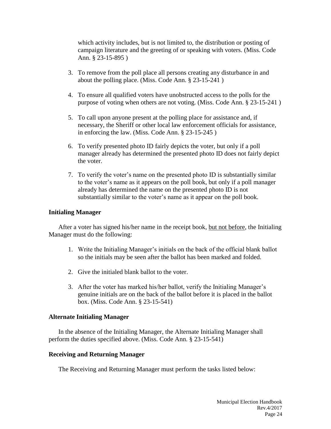which activity includes, but is not limited to, the distribution or posting of campaign literature and the greeting of or speaking with voters. (Miss. Code Ann. § 23-15-895 )

- 3. To remove from the poll place all persons creating any disturbance in and about the polling place. (Miss. Code Ann. § 23-15-241 )
- 4. To ensure all qualified voters have unobstructed access to the polls for the purpose of voting when others are not voting. (Miss. Code Ann. § 23-15-241 )
- 5. To call upon anyone present at the polling place for assistance and, if necessary, the Sheriff or other local law enforcement officials for assistance, in enforcing the law. (Miss. Code Ann. § 23-15-245 )
- 6. To verify presented photo ID fairly depicts the voter, but only if a poll manager already has determined the presented photo ID does not fairly depict the voter.
- 7. To verify the voter's name on the presented photo ID is substantially similar to the voter's name as it appears on the poll book, but only if a poll manager already has determined the name on the presented photo ID is not substantially similar to the voter's name as it appear on the poll book.

#### **Initialing Manager**

After a voter has signed his/her name in the receipt book, but not before, the Initialing Manager must do the following:

- 1. Write the Initialing Manager's initials on the back of the official blank ballot so the initials may be seen after the ballot has been marked and folded.
- 2. Give the initialed blank ballot to the voter.
- 3. After the voter has marked his/her ballot, verify the Initialing Manager's genuine initials are on the back of the ballot before it is placed in the ballot box. (Miss. Code Ann. § 23-15-541)

#### **Alternate Initialing Manager**

In the absence of the Initialing Manager, the Alternate Initialing Manager shall perform the duties specified above. (Miss. Code Ann. § 23-15-541)

#### **Receiving and Returning Manager**

The Receiving and Returning Manager must perform the tasks listed below: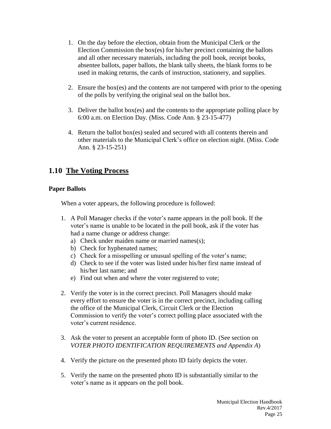- 1. On the day before the election, obtain from the Municipal Clerk or the Election Commission the box(es) for his/her precinct containing the ballots and all other necessary materials, including the poll book, receipt books, absentee ballots, paper ballots, the blank tally sheets, the blank forms to be used in making returns, the cards of instruction, stationery, and supplies.
- 2. Ensure the box(es) and the contents are not tampered with prior to the opening of the polls by verifying the original seal on the ballot box.
- 3. Deliver the ballot box(es) and the contents to the appropriate polling place by 6:00 a.m. on Election Day. (Miss. Code Ann. § 23-15-477)
- 4. Return the ballot box(es) sealed and secured with all contents therein and other materials to the Municipal Clerk's office on election night. (Miss. Code Ann. § 23-15-251)

# **1.10 The Voting Process**

#### **Paper Ballots**

When a voter appears, the following procedure is followed:

- 1. A Poll Manager checks if the voter's name appears in the poll book. If the voter's name is unable to be located in the poll book, ask if the voter has had a name change or address change:
	- a) Check under maiden name or married names(s);
	- b) Check for hyphenated names;
	- c) Check for a misspelling or unusual spelling of the voter's name;
	- d) Check to see if the voter was listed under his/her first name instead of his/her last name; and
	- e) Find out when and where the voter registered to vote;
- 2. Verify the voter is in the correct precinct. Poll Managers should make every effort to ensure the voter is in the correct precinct, including calling the office of the Municipal Clerk, Circuit Clerk or the Election Commission to verify the voter's correct polling place associated with the voter's current residence.
- 3. Ask the voter to present an acceptable form of photo ID. (See section on *VOTER PHOTO IDENTIFICATION REQUIREMENTS and Appendix A*)
- 4. Verify the picture on the presented photo ID fairly depicts the voter.
- 5. Verify the name on the presented photo ID is substantially similar to the voter's name as it appears on the poll book.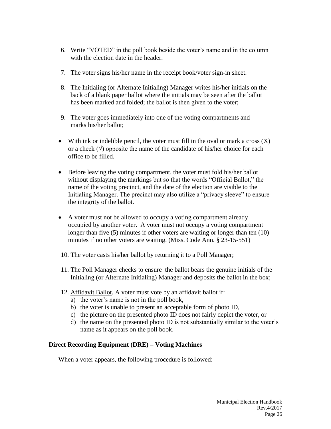- 6. Write "VOTED" in the poll book beside the voter's name and in the column with the election date in the header.
- 7. The voter signs his/her name in the receipt book/voter sign-in sheet.
- 8. The Initialing (or Alternate Initialing) Manager writes his/her initials on the back of a blank paper ballot where the initials may be seen after the ballot has been marked and folded; the ballot is then given to the voter;
- 9. The voter goes immediately into one of the voting compartments and marks his/her ballot;
- With ink or indelible pencil, the voter must fill in the oval or mark a cross  $(X)$ or a check  $(\sqrt{)}$  opposite the name of the candidate of his/her choice for each office to be filled.
- Before leaving the voting compartment, the voter must fold his/her ballot without displaying the markings but so that the words "Official Ballot," the name of the voting precinct, and the date of the election are visible to the Initialing Manager. The precinct may also utilize a "privacy sleeve" to ensure the integrity of the ballot.
- A voter must not be allowed to occupy a voting compartment already occupied by another voter. A voter must not occupy a voting compartment longer than five (5) minutes if other voters are waiting or longer than ten (10) minutes if no other voters are waiting. (Miss. Code Ann. § 23-15-551)
- 10. The voter casts his/her ballot by returning it to a Poll Manager;
- 11. The Poll Manager checks to ensure the ballot bears the genuine initials of the Initialing (or Alternate Initialing) Manager and deposits the ballot in the box;
- 12. Affidavit Ballot. A voter must vote by an affidavit ballot if:
	- a) the voter's name is not in the poll book,
	- b) the voter is unable to present an acceptable form of photo ID,
	- c) the picture on the presented photo ID does not fairly depict the voter, or
	- d) the name on the presented photo ID is not substantially similar to the voter's name as it appears on the poll book.

# **Direct Recording Equipment (DRE) – Voting Machines**

When a voter appears, the following procedure is followed: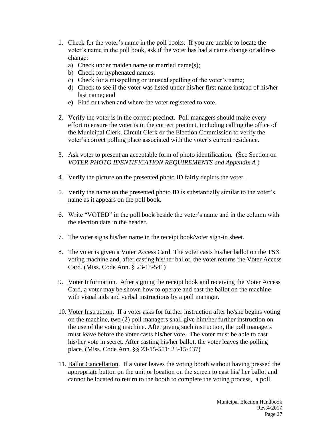- 1. Check for the voter's name in the poll books. If you are unable to locate the voter's name in the poll book, ask if the voter has had a name change or address change:
	- a) Check under maiden name or married name(s);
	- b) Check for hyphenated names;
	- c) Check for a misspelling or unusual spelling of the voter's name;
	- d) Check to see if the voter was listed under his/her first name instead of his/her last name; and
	- e) Find out when and where the voter registered to vote.
- 2. Verify the voter is in the correct precinct. Poll managers should make every effort to ensure the voter is in the correct precinct, including calling the office of the Municipal Clerk, Circuit Clerk or the Election Commission to verify the voter's correct polling place associated with the voter's current residence.
- 3. Ask voter to present an acceptable form of photo identification. (See Section on *VOTER PHOTO IDENTIFICATION REQUIREMENTS and Appendix A* )
- 4. Verify the picture on the presented photo ID fairly depicts the voter.
- 5. Verify the name on the presented photo ID is substantially similar to the voter's name as it appears on the poll book.
- 6. Write "VOTED" in the poll book beside the voter's name and in the column with the election date in the header.
- 7. The voter signs his/her name in the receipt book/voter sign-in sheet.
- 8. The voter is given a Voter Access Card. The voter casts his/her ballot on the TSX voting machine and, after casting his/her ballot, the voter returns the Voter Access Card. (Miss. Code Ann. § 23-15-541)
- 9. Voter Information. After signing the receipt book and receiving the Voter Access Card, a voter may be shown how to operate and cast the ballot on the machine with visual aids and verbal instructions by a poll manager.
- 10. Voter Instruction. If a voter asks for further instruction after he/she begins voting on the machine, two (2) poll managers shall give him/her further instruction on the use of the voting machine. After giving such instruction, the poll managers must leave before the voter casts his/her vote. The voter must be able to cast his/her vote in secret. After casting his/her ballot, the voter leaves the polling place. (Miss. Code Ann. §§ 23-15-551; 23-15-437)
- 11. Ballot Cancellation. If a voter leaves the voting booth without having pressed the appropriate button on the unit or location on the screen to cast his/ her ballot and cannot be located to return to the booth to complete the voting process, a poll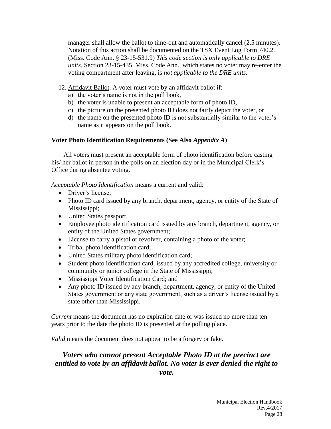manager shall allow the ballot to time-out and automatically cancel (2.5 minutes). Notation of this action shall be documented on the TSX Event Log Form 740.2. (Miss. Code Ann. § 23-15-531.9) *This code section is only applicable to DRE units*. Section 23-15-435, Miss. Code Ann., which states no voter may re-enter the voting compartment after leaving, is *not applicable to the DRE units.*

- 12. Affidavit Ballot. A voter must vote by an affidavit ballot if:
	- a) the voter's name is not in the poll book,
	- b) the voter is unable to present an acceptable form of photo ID,
	- c) the picture on the presented photo ID does not fairly depict the voter, or
	- d) the name on the presented photo ID is not substantially similar to the voter's name as it appears on the poll book.

# **Voter Photo Identification Requirements (See Also** *Appendix A***)**

All voters must present an acceptable form of photo identification before casting his/ her ballot in person in the polls on an election day or in the Municipal Clerk's Office during absentee voting.

*Acceptable Photo Identification* means a current and valid:

- Driver's license:
- Photo ID card issued by any branch, department, agency, or entity of the State of Mississippi;
- United States passport,
- Employee photo identification card issued by any branch, department, agency, or entity of the United States government;
- License to carry a pistol or revolver, containing a photo of the voter;
- Tribal photo identification card;
- United States military photo identification card;
- Student photo identification card, issued by any accredited college, university or community or junior college in the State of Mississippi;
- Mississippi Voter Identification Card; and
- Any photo ID issued by any branch, department, agency, or entity of the United States government or any state government, such as a driver's license issued by a state other than Mississippi.

*Current* means the document has no expiration date or was issued no more than ten years prior to the date the photo ID is presented at the polling place.

*Valid* means the document does not appear to be a forgery or fake.

# *Voters who cannot present Acceptable Photo ID at the precinct are entitled to vote by an affidavit ballot. No voter is ever denied the right to vote.*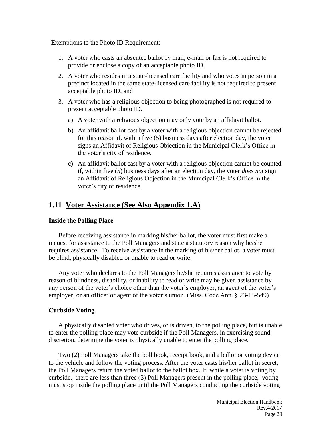Exemptions to the Photo ID Requirement:

- 1. A voter who casts an absentee ballot by mail, e-mail or fax is not required to provide or enclose a copy of an acceptable photo ID,
- 2. A voter who resides in a state-licensed care facility and who votes in person in a precinct located in the same state-licensed care facility is not required to present acceptable photo ID, and
- 3. A voter who has a religious objection to being photographed is not required to present acceptable photo ID.
	- a) A voter with a religious objection may only vote by an affidavit ballot.
	- b) An affidavit ballot cast by a voter with a religious objection cannot be rejected for this reason if, within five (5) business days after election day, the voter signs an Affidavit of Religious Objection in the Municipal Clerk's Office in the voter's city of residence.
	- c) An affidavit ballot cast by a voter with a religious objection cannot be counted if, within five (5) business days after an election day, the voter *does not* sign an Affidavit of Religious Objection in the Municipal Clerk's Office in the voter's city of residence.

# **1.11 Voter Assistance (See Also Appendix 1.A)**

#### **Inside the Polling Place**

Before receiving assistance in marking his/her ballot, the voter must first make a request for assistance to the Poll Managers and state a statutory reason why he/she requires assistance. To receive assistance in the marking of his/her ballot, a voter must be blind, physically disabled or unable to read or write.

Any voter who declares to the Poll Managers he/she requires assistance to vote by reason of blindness, disability, or inability to read or write may be given assistance by any person of the voter's choice other than the voter's employer, an agent of the voter's employer, or an officer or agent of the voter's union. (Miss. Code Ann. § 23-15-549)

#### **Curbside Voting**

A physically disabled voter who drives, or is driven, to the polling place, but is unable to enter the polling place may vote curbside if the Poll Managers, in exercising sound discretion, determine the voter is physically unable to enter the polling place.

Two (2) Poll Managers take the poll book, receipt book, and a ballot or voting device to the vehicle and follow the voting process. After the voter casts his/her ballot in secret, the Poll Managers return the voted ballot to the ballot box. If, while a voter is voting by curbside, there are less than three (3) Poll Managers present in the polling place, voting must stop inside the polling place until the Poll Managers conducting the curbside voting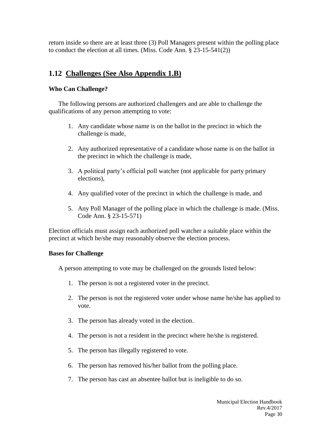return inside so there are at least three (3) Poll Managers present within the polling place to conduct the election at all times. (Miss. Code Ann. § 23-15-541(2))

# **1.12 Challenges (See Also Appendix 1.B)**

#### **Who Can Challenge?**

The following persons are authorized challengers and are able to challenge the qualifications of any person attempting to vote:

- 1. Any candidate whose name is on the ballot in the precinct in which the challenge is made,
- 2. Any authorized representative of a candidate whose name is on the ballot in the precinct in which the challenge is made,
- 3. A political party's official poll watcher (not applicable for party primary elections),
- 4. Any qualified voter of the precinct in which the challenge is made, and
- 5. Any Poll Manager of the polling place in which the challenge is made. (Miss. Code Ann. § 23-15-571)

Election officials must assign each authorized poll watcher a suitable place within the precinct at which he/she may reasonably observe the election process.

#### **Bases for Challenge**

A person attempting to vote may be challenged on the grounds listed below:

- 1. The person is not a registered voter in the precinct.
- 2. The person is not the registered voter under whose name he/she has applied to vote.
- 3. The person has already voted in the election.
- 4. The person is not a resident in the precinct where he/she is registered.
- 5. The person has illegally registered to vote.
- 6. The person has removed his/her ballot from the polling place.
- 7. The person has cast an absentee ballot but is ineligible to do so.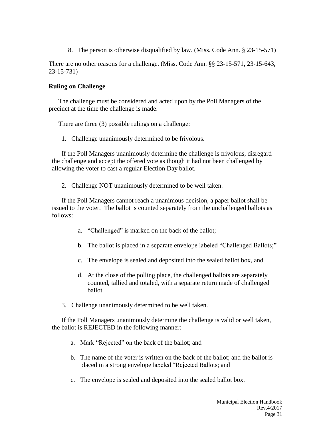8. The person is otherwise disqualified by law. (Miss. Code Ann. § 23-15-571)

There are no other reasons for a challenge. (Miss. Code Ann. §§ 23-15-571, 23-15-643, 23-15-731)

#### **Ruling on Challenge**

The challenge must be considered and acted upon by the Poll Managers of the precinct at the time the challenge is made.

There are three (3) possible rulings on a challenge:

1. Challenge unanimously determined to be frivolous.

If the Poll Managers unanimously determine the challenge is frivolous, disregard the challenge and accept the offered vote as though it had not been challenged by allowing the voter to cast a regular Election Day ballot.

2. Challenge NOT unanimously determined to be well taken.

If the Poll Managers cannot reach a unanimous decision, a paper ballot shall be issued to the voter. The ballot is counted separately from the unchallenged ballots as follows:

- a. "Challenged" is marked on the back of the ballot;
- b. The ballot is placed in a separate envelope labeled "Challenged Ballots;"
- c. The envelope is sealed and deposited into the sealed ballot box, and
- d. At the close of the polling place, the challenged ballots are separately counted, tallied and totaled, with a separate return made of challenged ballot.
- 3. Challenge unanimously determined to be well taken.

If the Poll Managers unanimously determine the challenge is valid or well taken, the ballot is REJECTED in the following manner:

- a. Mark "Rejected" on the back of the ballot; and
- b. The name of the voter is written on the back of the ballot; and the ballot is placed in a strong envelope labeled "Rejected Ballots; and
- c. The envelope is sealed and deposited into the sealed ballot box.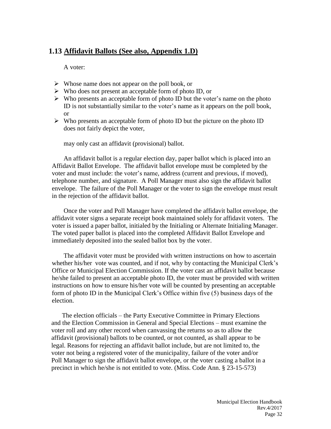# **1.13 Affidavit Ballots (See also, Appendix 1.D)**

A voter:

- $\triangleright$  Whose name does not appear on the poll book, or
- $\triangleright$  Who does not present an acceptable form of photo ID, or
- $\triangleright$  Who presents an acceptable form of photo ID but the voter's name on the photo ID is not substantially similar to the voter's name as it appears on the poll book, or
- $\triangleright$  Who presents an acceptable form of photo ID but the picture on the photo ID does not fairly depict the voter,

may only cast an affidavit (provisional) ballot.

An affidavit ballot is a regular election day, paper ballot which is placed into an Affidavit Ballot Envelope. The affidavit ballot envelope must be completed by the voter and must include: the voter's name, address (current and previous, if moved), telephone number, and signature. A Poll Manager must also sign the affidavit ballot envelope. The failure of the Poll Manager or the voter to sign the envelope must result in the rejection of the affidavit ballot.

Once the voter and Poll Manager have completed the affidavit ballot envelope, the affidavit voter signs a separate receipt book maintained solely for affidavit voters. The voter is issued a paper ballot, initialed by the Initialing or Alternate Initialing Manager. The voted paper ballot is placed into the completed Affidavit Ballot Envelope and immediately deposited into the sealed ballot box by the voter.

The affidavit voter must be provided with written instructions on how to ascertain whether his/her vote was counted, and if not, why by contacting the Municipal Clerk's Office or Municipal Election Commission. If the voter cast an affidavit ballot because he/she failed to present an acceptable photo ID, the voter must be provided with written instructions on how to ensure his/her vote will be counted by presenting an acceptable form of photo ID in the Municipal Clerk's Office within five (5) business days of the election.

The election officials – the Party Executive Committee in Primary Elections and the Election Commission in General and Special Elections – must examine the voter roll and any other record when canvassing the returns so as to allow the affidavit (provisional) ballots to be counted, or not counted, as shall appear to be legal. Reasons for rejecting an affidavit ballot include, but are not limited to, the voter not being a registered voter of the municipality, failure of the voter and/or Poll Manager to sign the affidavit ballot envelope, or the voter casting a ballot in a precinct in which he/she is not entitled to vote. (Miss. Code Ann. § 23-15-573)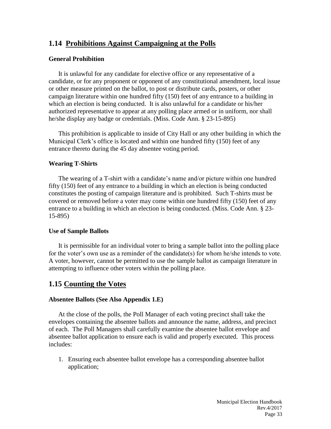# **1.14 Prohibitions Against Campaigning at the Polls**

#### **General Prohibition**

It is unlawful for any candidate for elective office or any representative of a candidate, or for any proponent or opponent of any constitutional amendment, local issue or other measure printed on the ballot, to post or distribute cards, posters, or other campaign literature within one hundred fifty (150) feet of any entrance to a building in which an election is being conducted. It is also unlawful for a candidate or his/her authorized representative to appear at any polling place armed or in uniform, nor shall he/she display any badge or credentials. (Miss. Code Ann. § 23-15-895)

This prohibition is applicable to inside of City Hall or any other building in which the Municipal Clerk's office is located and within one hundred fifty (150) feet of any entrance thereto during the 45 day absentee voting period.

#### **Wearing T-Shirts**

The wearing of a T-shirt with a candidate's name and/or picture within one hundred fifty (150) feet of any entrance to a building in which an election is being conducted constitutes the posting of campaign literature and is prohibited. Such T-shirts must be covered or removed before a voter may come within one hundred fifty (150) feet of any entrance to a building in which an election is being conducted. (Miss. Code Ann. § 23- 15-895)

#### **Use of Sample Ballots**

It is permissible for an individual voter to bring a sample ballot into the polling place for the voter's own use as a reminder of the candidate(s) for whom he/she intends to vote. A voter, however, cannot be permitted to use the sample ballot as campaign literature in attempting to influence other voters within the polling place.

# **1.15 Counting the Votes**

#### **Absentee Ballots (See Also Appendix 1.E)**

At the close of the polls, the Poll Manager of each voting precinct shall take the envelopes containing the absentee ballots and announce the name, address, and precinct of each. The Poll Managers shall carefully examine the absentee ballot envelope and absentee ballot application to ensure each is valid and properly executed. This process includes:

1. Ensuring each absentee ballot envelope has a corresponding absentee ballot application;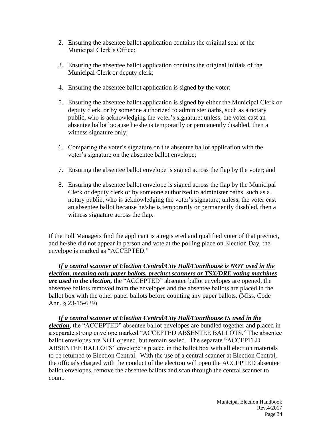- 2. Ensuring the absentee ballot application contains the original seal of the Municipal Clerk's Office;
- 3. Ensuring the absentee ballot application contains the original initials of the Municipal Clerk or deputy clerk;
- 4. Ensuring the absentee ballot application is signed by the voter;
- 5. Ensuring the absentee ballot application is signed by either the Municipal Clerk or deputy clerk, or by someone authorized to administer oaths, such as a notary public, who is acknowledging the voter's signature; unless, the voter cast an absentee ballot because he/she is temporarily or permanently disabled, then a witness signature only;
- 6. Comparing the voter's signature on the absentee ballot application with the voter's signature on the absentee ballot envelope;
- 7. Ensuring the absentee ballot envelope is signed across the flap by the voter; and
- 8. Ensuring the absentee ballot envelope is signed across the flap by the Municipal Clerk or deputy clerk or by someone authorized to administer oaths, such as a notary public, who is acknowledging the voter's signature; unless, the voter cast an absentee ballot because he/she is temporarily or permanently disabled, then a witness signature across the flap.

If the Poll Managers find the applicant is a registered and qualified voter of that precinct, and he/she did not appear in person and vote at the polling place on Election Day, the envelope is marked as "ACCEPTED."

*If a central scanner at Election Central/City Hall/Courthouse is NOT used in the election, meaning only paper ballots, precinct scanners or TSX/DRE voting machines are used in the election,* the "ACCEPTED" absentee ballot envelopes are opened, the absentee ballots removed from the envelopes and the absentee ballots are placed in the ballot box with the other paper ballots before counting any paper ballots. (Miss. Code Ann. § 23-15-639)

*If a central scanner at Election Central/City Hall/Courthouse IS used in the election*, the "ACCEPTED" absentee ballot envelopes are bundled together and placed in a separate strong envelope marked "ACCEPTED ABSENTEE BALLOTS." The absentee ballot envelopes are NOT opened, but remain sealed. The separate "ACCEPTED ABSENTEE BALLOTS" envelope is placed in the ballot box with all election materials to be returned to Election Central. With the use of a central scanner at Election Central, the officials charged with the conduct of the election will open the ACCEPTED absentee ballot envelopes, remove the absentee ballots and scan through the central scanner to count.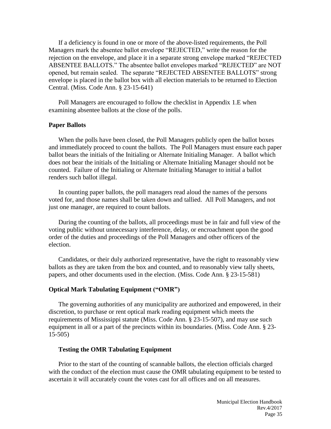If a deficiency is found in one or more of the above-listed requirements, the Poll Managers mark the absentee ballot envelope "REJECTED," write the reason for the rejection on the envelope, and place it in a separate strong envelope marked "REJECTED ABSENTEE BALLOTS." The absentee ballot envelopes marked "REJECTED" are NOT opened, but remain sealed. The separate "REJECTED ABSENTEE BALLOTS" strong envelope is placed in the ballot box with all election materials to be returned to Election Central. (Miss. Code Ann. § 23-15-641)

Poll Managers are encouraged to follow the checklist in Appendix 1.E when examining absentee ballots at the close of the polls.

#### **Paper Ballots**

When the polls have been closed, the Poll Managers publicly open the ballot boxes and immediately proceed to count the ballots. The Poll Managers must ensure each paper ballot bears the initials of the Initialing or Alternate Initialing Manager. A ballot which does not bear the initials of the Initialing or Alternate Initialing Manager should not be counted. Failure of the Initialing or Alternate Initialing Manager to initial a ballot renders such ballot illegal.

In counting paper ballots, the poll managers read aloud the names of the persons voted for, and those names shall be taken down and tallied. All Poll Managers, and not just one manager, are required to count ballots.

During the counting of the ballots, all proceedings must be in fair and full view of the voting public without unnecessary interference, delay, or encroachment upon the good order of the duties and proceedings of the Poll Managers and other officers of the election.

Candidates, or their duly authorized representative, have the right to reasonably view ballots as they are taken from the box and counted, and to reasonably view tally sheets, papers, and other documents used in the election. (Miss. Code Ann. § 23-15-581)

#### **Optical Mark Tabulating Equipment ("OMR")**

The governing authorities of any municipality are authorized and empowered, in their discretion, to purchase or rent optical mark reading equipment which meets the requirements of Mississippi statute (Miss. Code Ann. § 23-15-507), and may use such equipment in all or a part of the precincts within its boundaries. (Miss. Code Ann. § 23- 15-505)

#### **Testing the OMR Tabulating Equipment**

Prior to the start of the counting of scannable ballots, the election officials charged with the conduct of the election must cause the OMR tabulating equipment to be tested to ascertain it will accurately count the votes cast for all offices and on all measures.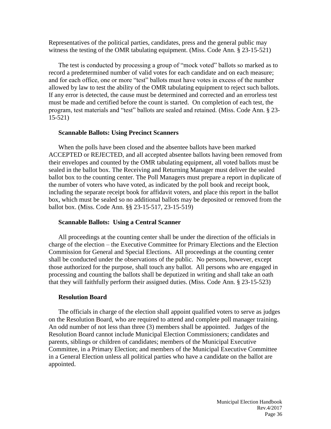Representatives of the political parties, candidates, press and the general public may witness the testing of the OMR tabulating equipment. (Miss. Code Ann. § 23-15-521)

The test is conducted by processing a group of "mock voted" ballots so marked as to record a predetermined number of valid votes for each candidate and on each measure; and for each office, one or more "test" ballots must have votes in excess of the number allowed by law to test the ability of the OMR tabulating equipment to reject such ballots. If any error is detected, the cause must be determined and corrected and an errorless test must be made and certified before the count is started. On completion of each test, the program, test materials and "test" ballots are sealed and retained. (Miss. Code Ann. § 23- 15-521)

#### **Scannable Ballots: Using Precinct Scanners**

When the polls have been closed and the absentee ballots have been marked ACCEPTED or REJECTED, and all accepted absentee ballots having been removed from their envelopes and counted by the OMR tabulating equipment, all voted ballots must be sealed in the ballot box. The Receiving and Returning Manager must deliver the sealed ballot box to the counting center. The Poll Managers must prepare a report in duplicate of the number of voters who have voted, as indicated by the poll book and receipt book, including the separate receipt book for affidavit voters, and place this report in the ballot box, which must be sealed so no additional ballots may be deposited or removed from the ballot box. (Miss. Code Ann. §§ 23-15-517, 23-15-519)

#### **Scannable Ballots: Using a Central Scanner**

All proceedings at the counting center shall be under the direction of the officials in charge of the election – the Executive Committee for Primary Elections and the Election Commission for General and Special Elections. All proceedings at the counting center shall be conducted under the observations of the public. No persons, however, except those authorized for the purpose, shall touch any ballot. All persons who are engaged in processing and counting the ballots shall be deputized in writing and shall take an oath that they will faithfully perform their assigned duties. (Miss. Code Ann. § 23-15-523)

#### **Resolution Board**

The officials in charge of the election shall appoint qualified voters to serve as judges on the Resolution Board, who are required to attend and complete poll manager training. An odd number of not less than three (3) members shall be appointed. Judges of the Resolution Board cannot include Municipal Election Commissioners; candidates and parents, siblings or children of candidates; members of the Municipal Executive Committee, in a Primary Election; and members of the Municipal Executive Committee in a General Election unless all political parties who have a candidate on the ballot are appointed.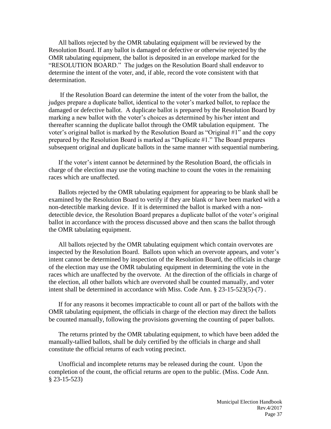All ballots rejected by the OMR tabulating equipment will be reviewed by the Resolution Board. If any ballot is damaged or defective or otherwise rejected by the OMR tabulating equipment, the ballot is deposited in an envelope marked for the "RESOLUTION BOARD." The judges on the Resolution Board shall endeavor to determine the intent of the voter, and, if able, record the vote consistent with that determination.

If the Resolution Board can determine the intent of the voter from the ballot, the judges prepare a duplicate ballot, identical to the voter's marked ballot, to replace the damaged or defective ballot. A duplicate ballot is prepared by the Resolution Board by marking a new ballot with the voter's choices as determined by his/her intent and thereafter scanning the duplicate ballot through the OMR tabulation equipment. The voter's original ballot is marked by the Resolution Board as "Original #1" and the copy prepared by the Resolution Board is marked as "Duplicate #1." The Board prepares subsequent original and duplicate ballots in the same manner with sequential numbering.

If the voter's intent cannot be determined by the Resolution Board, the officials in charge of the election may use the voting machine to count the votes in the remaining races which are unaffected.

Ballots rejected by the OMR tabulating equipment for appearing to be blank shall be examined by the Resolution Board to verify if they are blank or have been marked with a non-detectible marking device. If it is determined the ballot is marked with a nondetectible device, the Resolution Board prepares a duplicate ballot of the voter's original ballot in accordance with the process discussed above and then scans the ballot through the OMR tabulating equipment.

All ballots rejected by the OMR tabulating equipment which contain overvotes are inspected by the Resolution Board. Ballots upon which an overvote appears, and voter's intent cannot be determined by inspection of the Resolution Board, the officials in charge of the election may use the OMR tabulating equipment in determining the vote in the races which are unaffected by the overvote. At the direction of the officials in charge of the election, all other ballots which are overvoted shall be counted manually, and voter intent shall be determined in accordance with Miss. Code Ann. § 23-15-523(5)-(7) .

If for any reasons it becomes impracticable to count all or part of the ballots with the OMR tabulating equipment, the officials in charge of the election may direct the ballots be counted manually, following the provisions governing the counting of paper ballots.

The returns printed by the OMR tabulating equipment, to which have been added the manually-tallied ballots, shall be duly certified by the officials in charge and shall constitute the official returns of each voting precinct.

Unofficial and incomplete returns may be released during the count. Upon the completion of the count, the official returns are open to the public. (Miss. Code Ann. § 23-15-523)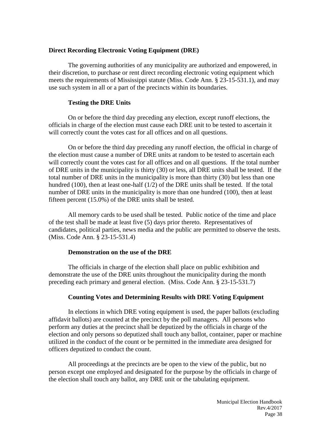#### **Direct Recording Electronic Voting Equipment (DRE)**

The governing authorities of any municipality are authorized and empowered, in their discretion, to purchase or rent direct recording electronic voting equipment which meets the requirements of Mississippi statute (Miss. Code Ann. § 23-15-531.1), and may use such system in all or a part of the precincts within its boundaries.

#### **Testing the DRE Units**

On or before the third day preceding any election, except runoff elections, the officials in charge of the election must cause each DRE unit to be tested to ascertain it will correctly count the votes cast for all offices and on all questions.

On or before the third day preceding any runoff election, the official in charge of the election must cause a number of DRE units at random to be tested to ascertain each will correctly count the votes cast for all offices and on all questions. If the total number of DRE units in the municipality is thirty (30) or less, all DRE units shall be tested. If the total number of DRE units in the municipality is more than thirty (30) but less than one hundred (100), then at least one-half (1/2) of the DRE units shall be tested. If the total number of DRE units in the municipality is more than one hundred (100), then at least fifteen percent (15.0%) of the DRE units shall be tested.

All memory cards to be used shall be tested. Public notice of the time and place of the test shall be made at least five (5) days prior thereto. Representatives of candidates, political parties, news media and the public are permitted to observe the tests. (Miss. Code Ann. § 23-15-531.4)

#### **Demonstration on the use of the DRE**

The officials in charge of the election shall place on public exhibition and demonstrate the use of the DRE units throughout the municipality during the month preceding each primary and general election. (Miss. Code Ann. § 23-15-531.7)

#### **Counting Votes and Determining Results with DRE Voting Equipment**

In elections in which DRE voting equipment is used, the paper ballots (excluding affidavit ballots) are counted at the precinct by the poll managers. All persons who perform any duties at the precinct shall be deputized by the officials in charge of the election and only persons so deputized shall touch any ballot, container, paper or machine utilized in the conduct of the count or be permitted in the immediate area designed for officers deputized to conduct the count.

All proceedings at the precincts are be open to the view of the public, but no person except one employed and designated for the purpose by the officials in charge of the election shall touch any ballot, any DRE unit or the tabulating equipment.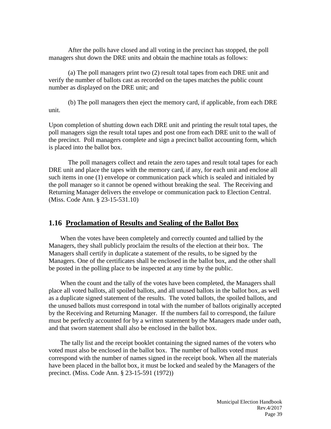After the polls have closed and all voting in the precinct has stopped, the poll managers shut down the DRE units and obtain the machine totals as follows:

(a) The poll managers print two (2) result total tapes from each DRE unit and verify the number of ballots cast as recorded on the tapes matches the public count number as displayed on the DRE unit; and

(b) The poll managers then eject the memory card, if applicable, from each DRE unit.

Upon completion of shutting down each DRE unit and printing the result total tapes, the poll managers sign the result total tapes and post one from each DRE unit to the wall of the precinct. Poll managers complete and sign a precinct ballot accounting form, which is placed into the ballot box.

The poll managers collect and retain the zero tapes and result total tapes for each DRE unit and place the tapes with the memory card, if any, for each unit and enclose all such items in one (1) envelope or communication pack which is sealed and initialed by the poll manager so it cannot be opened without breaking the seal. The Receiving and Returning Manager delivers the envelope or communication pack to Election Central. (Miss. Code Ann. § 23-15-531.10)

#### **1.16 Proclamation of Results and Sealing of the Ballot Box**

When the votes have been completely and correctly counted and tallied by the Managers, they shall publicly proclaim the results of the election at their box. The Managers shall certify in duplicate a statement of the results, to be signed by the Managers. One of the certificates shall be enclosed in the ballot box, and the other shall be posted in the polling place to be inspected at any time by the public.

When the count and the tally of the votes have been completed, the Managers shall place all voted ballots, all spoiled ballots, and all unused ballots in the ballot box, as well as a duplicate signed statement of the results. The voted ballots, the spoiled ballots, and the unused ballots must correspond in total with the number of ballots originally accepted by the Receiving and Returning Manager. If the numbers fail to correspond, the failure must be perfectly accounted for by a written statement by the Managers made under oath, and that sworn statement shall also be enclosed in the ballot box.

The tally list and the receipt booklet containing the signed names of the voters who voted must also be enclosed in the ballot box. The number of ballots voted must correspond with the number of names signed in the receipt book. When all the materials have been placed in the ballot box, it must be locked and sealed by the Managers of the precinct. (Miss. Code Ann. § 23-15-591 (1972))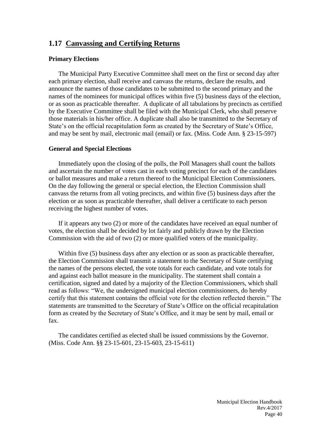# **1.17 Canvassing and Certifying Returns**

#### **Primary Elections**

The Municipal Party Executive Committee shall meet on the first or second day after each primary election, shall receive and canvass the returns, declare the results, and announce the names of those candidates to be submitted to the second primary and the names of the nominees for municipal offices within five (5) business days of the election, or as soon as practicable thereafter. A duplicate of all tabulations by precincts as certified by the Executive Committee shall be filed with the Municipal Clerk, who shall preserve those materials in his/her office. A duplicate shall also be transmitted to the Secretary of State's on the official recapitulation form as created by the Secretary of State's Office, and may be sent by mail, electronic mail (email) or fax. (Miss. Code Ann. § 23-15-597)

#### **General and Special Elections**

Immediately upon the closing of the polls, the Poll Managers shall count the ballots and ascertain the number of votes cast in each voting precinct for each of the candidates or ballot measures and make a return thereof to the Municipal Election Commissioners. On the day following the general or special election, the Election Commission shall canvass the returns from all voting precincts, and within five (5) business days after the election or as soon as practicable thereafter, shall deliver a certificate to each person receiving the highest number of votes.

If it appears any two (2) or more of the candidates have received an equal number of votes, the election shall be decided by lot fairly and publicly drawn by the Election Commission with the aid of two (2) or more qualified voters of the municipality.

Within five (5) business days after any election or as soon as practicable thereafter, the Election Commission shall transmit a statement to the Secretary of State certifying the names of the persons elected, the vote totals for each candidate, and vote totals for and against each ballot measure in the municipality. The statement shall contain a certification, signed and dated by a majority of the Election Commissioners, which shall read as follows: "We, the undersigned municipal election commissioners, do hereby certify that this statement contains the official vote for the election reflected therein." The statements are transmitted to the Secretary of State's Office on the official recapitulation form as created by the Secretary of State's Office, and it may be sent by mail, email or fax.

The candidates certified as elected shall be issued commissions by the Governor. (Miss. Code Ann. §§ 23-15-601, 23-15-603, 23-15-611)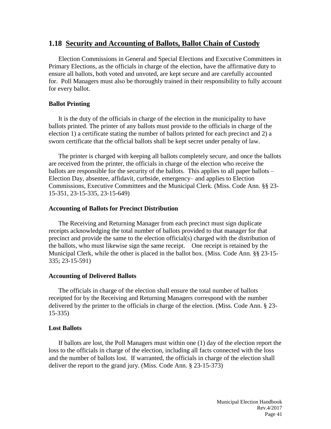#### **1.18 Security and Accounting of Ballots, Ballot Chain of Custody**

Election Commissions in General and Special Elections and Executive Committees in Primary Elections, as the officials in charge of the election, have the affirmative duty to ensure all ballots, both voted and unvoted, are kept secure and are carefully accounted for. Poll Managers must also be thoroughly trained in their responsibility to fully account for every ballot.

#### **Ballot Printing**

It is the duty of the officials in charge of the election in the municipality to have ballots printed. The printer of any ballots must provide to the officials in charge of the election 1) a certificate stating the number of ballots printed for each precinct and 2) a sworn certificate that the official ballots shall be kept secret under penalty of law.

The printer is charged with keeping all ballots completely secure, and once the ballots are received from the printer, the officials in charge of the election who receive the ballots are responsible for the security of the ballots. This applies to all paper ballots – Election Day, absentee, affidavit, curbside, emergency– and applies to Election Commissions, Executive Committees and the Municipal Clerk. (Miss. Code Ann. §§ 23- 15-351, 23-15-335, 23-15-649)

#### **Accounting of Ballots for Precinct Distribution**

The Receiving and Returning Manager from each precinct must sign duplicate receipts acknowledging the total number of ballots provided to that manager for that precinct and provide the same to the election official(s) charged with the distribution of the ballots, who must likewise sign the same receipt. One receipt is retained by the Municipal Clerk, while the other is placed in the ballot box. (Miss. Code Ann. §§ 23-15- 335; 23-15-591)

#### **Accounting of Delivered Ballots**

The officials in charge of the election shall ensure the total number of ballots receipted for by the Receiving and Returning Managers correspond with the number delivered by the printer to the officials in charge of the election. (Miss. Code Ann. § 23- 15-335)

#### **Lost Ballots**

If ballots are lost, the Poll Managers must within one (1) day of the election report the loss to the officials in charge of the election, including all facts connected with the loss and the number of ballots lost. If warranted, the officials in charge of the election shall deliver the report to the grand jury. (Miss. Code Ann. § 23-15-373)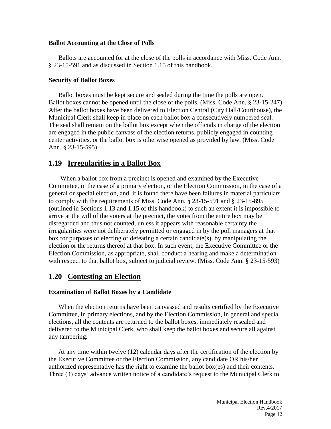#### **Ballot Accounting at the Close of Polls**

Ballots are accounted for at the close of the polls in accordance with Miss. Code Ann. § 23-15-591 and as discussed in Section 1.15 of this handbook.

#### **Security of Ballot Boxes**

Ballot boxes must be kept secure and sealed during the time the polls are open. Ballot boxes cannot be opened until the close of the polls. (Miss. Code Ann. § 23-15-247) After the ballot boxes have been delivered to Election Central (City Hall/Courthouse), the Municipal Clerk shall keep in place on each ballot box a consecutively numbered seal. The seal shall remain on the ballot box except when the officials in charge of the election are engaged in the public canvass of the election returns, publicly engaged in counting center activities, or the ballot box is otherwise opened as provided by law. (Miss. Code Ann. § 23-15-595)

# **1.19 Irregularities in a Ballot Box**

When a ballot box from a precinct is opened and examined by the Executive Committee, in the case of a primary election, or the Election Commission, in the case of a general or special election, and it is found there have been failures in material particulars to comply with the requirements of Miss. Code Ann. § 23-15-591 and § 23-15-895 (outlined in Sections 1.13 and 1.15 of this handbook) to such an extent it is impossible to arrive at the will of the voters at the precinct, the votes from the entire box may be disregarded and thus not counted, unless it appears with reasonable certainty the irregularities were not deliberately permitted or engaged in by the poll managers at that box for purposes of electing or defeating a certain candidate(s) by manipulating the election or the returns thereof at that box. In such event, the Executive Committee or the Election Commission, as appropriate, shall conduct a hearing and make a determination with respect to that ballot box, subject to judicial review. (Miss. Code Ann. § 23-15-593)

# **1.20 Contesting an Election**

#### **Examination of Ballot Boxes by a Candidate**

When the election returns have been canvassed and results certified by the Executive Committee, in primary elections, and by the Election Commission, in general and special elections, all the contents are returned to the ballot boxes, immediately resealed and delivered to the Municipal Clerk, who shall keep the ballot boxes and secure all against any tampering.

At any time within twelve (12) calendar days after the certification of the election by the Executive Committee or the Election Commission, any candidate OR his/her authorized representative has the right to examine the ballot box(es) and their contents. Three (3) days' advance written notice of a candidate's request to the Municipal Clerk to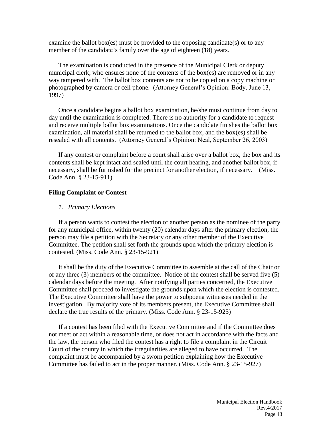examine the ballot box(es) must be provided to the opposing candidate(s) or to any member of the candidate's family over the age of eighteen (18) years.

The examination is conducted in the presence of the Municipal Clerk or deputy municipal clerk, who ensures none of the contents of the box(es) are removed or in any way tampered with. The ballot box contents are not to be copied on a copy machine or photographed by camera or cell phone. (Attorney General's Opinion: Body, June 13, 1997)

Once a candidate begins a ballot box examination, he/she must continue from day to day until the examination is completed. There is no authority for a candidate to request and receive multiple ballot box examinations. Once the candidate finishes the ballot box examination, all material shall be returned to the ballot box, and the box(es) shall be resealed with all contents. (Attorney General's Opinion: Neal, September 26, 2003)

If any contest or complaint before a court shall arise over a ballot box, the box and its contents shall be kept intact and sealed until the court hearing, and another ballot box, if necessary, shall be furnished for the precinct for another election, if necessary. (Miss. Code Ann. § 23-15-911)

#### **Filing Complaint or Contest**

#### *1. Primary Elections*

If a person wants to contest the election of another person as the nominee of the party for any municipal office, within twenty (20) calendar days after the primary election, the person may file a petition with the Secretary or any other member of the Executive Committee. The petition shall set forth the grounds upon which the primary election is contested. (Miss. Code Ann. § 23-15-921)

It shall be the duty of the Executive Committee to assemble at the call of the Chair or of any three (3) members of the committee. Notice of the contest shall be served five (5) calendar days before the meeting. After notifying all parties concerned, the Executive Committee shall proceed to investigate the grounds upon which the election is contested. The Executive Committee shall have the power to subpoena witnesses needed in the investigation. By majority vote of its members present, the Executive Committee shall declare the true results of the primary. (Miss. Code Ann. § 23-15-925)

If a contest has been filed with the Executive Committee and if the Committee does not meet or act within a reasonable time, or does not act in accordance with the facts and the law, the person who filed the contest has a right to file a complaint in the Circuit Court of the county in which the irregularities are alleged to have occurred. The complaint must be accompanied by a sworn petition explaining how the Executive Committee has failed to act in the proper manner. (Miss. Code Ann. § 23-15-927)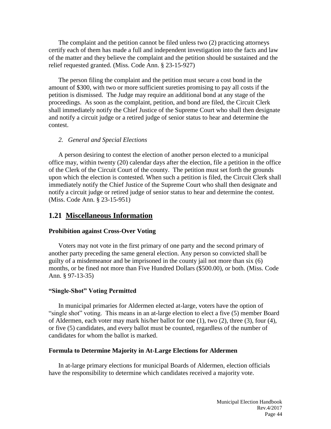The complaint and the petition cannot be filed unless two (2) practicing attorneys certify each of them has made a full and independent investigation into the facts and law of the matter and they believe the complaint and the petition should be sustained and the relief requested granted. (Miss. Code Ann. § 23-15-927)

The person filing the complaint and the petition must secure a cost bond in the amount of \$300, with two or more sufficient sureties promising to pay all costs if the petition is dismissed. The Judge may require an additional bond at any stage of the proceedings. As soon as the complaint, petition, and bond are filed, the Circuit Clerk shall immediately notify the Chief Justice of the Supreme Court who shall then designate and notify a circuit judge or a retired judge of senior status to hear and determine the contest.

#### *2. General and Special Elections*

A person desiring to contest the election of another person elected to a municipal office may, within twenty (20) calendar days after the election, file a petition in the office of the Clerk of the Circuit Court of the county. The petition must set forth the grounds upon which the election is contested. When such a petition is filed, the Circuit Clerk shall immediately notify the Chief Justice of the Supreme Court who shall then designate and notify a circuit judge or retired judge of senior status to hear and determine the contest. (Miss. Code Ann. § 23-15-951)

#### **1.21 Miscellaneous Information**

#### **Prohibition against Cross-Over Voting**

Voters may not vote in the first primary of one party and the second primary of another party preceding the same general election. Any person so convicted shall be guilty of a misdemeanor and be imprisoned in the county jail not more than six (6) months, or be fined not more than Five Hundred Dollars (\$500.00), or both. (Miss. Code Ann. § 97-13-35)

#### **"Single-Shot" Voting Permitted**

In municipal primaries for Aldermen elected at-large, voters have the option of "single shot" voting. This means in an at-large election to elect a five (5) member Board of Aldermen, each voter may mark his/her ballot for one (1), two (2), three (3), four (4), or five (5) candidates, and every ballot must be counted, regardless of the number of candidates for whom the ballot is marked.

#### **Formula to Determine Majority in At-Large Elections for Aldermen**

In at-large primary elections for municipal Boards of Aldermen, election officials have the responsibility to determine which candidates received a majority vote.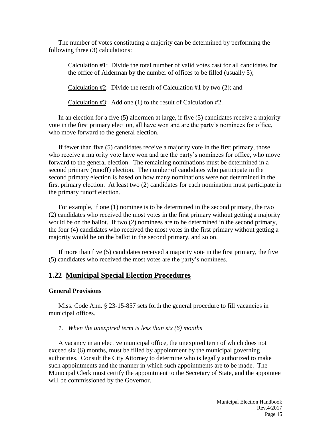The number of votes constituting a majority can be determined by performing the following three (3) calculations:

Calculation #1: Divide the total number of valid votes cast for all candidates for the office of Alderman by the number of offices to be filled (usually 5);

Calculation  $#2$ : Divide the result of Calculation  $#1$  by two (2); and

Calculation #3: Add one (1) to the result of Calculation #2.

In an election for a five (5) aldermen at large, if five (5) candidates receive a majority vote in the first primary election, all have won and are the party's nominees for office, who move forward to the general election.

If fewer than five (5) candidates receive a majority vote in the first primary, those who receive a majority vote have won and are the party's nominees for office, who move forward to the general election. The remaining nominations must be determined in a second primary (runoff) election. The number of candidates who participate in the second primary election is based on how many nominations were not determined in the first primary election. At least two (2) candidates for each nomination must participate in the primary runoff election.

For example, if one (1) nominee is to be determined in the second primary, the two (2) candidates who received the most votes in the first primary without getting a majority would be on the ballot. If two (2) nominees are to be determined in the second primary, the four (4) candidates who received the most votes in the first primary without getting a majority would be on the ballot in the second primary, and so on.

If more than five (5) candidates received a majority vote in the first primary, the five (5) candidates who received the most votes are the party's nominees.

# **1.22 Municipal Special Election Procedures**

#### **General Provisions**

Miss. Code Ann. § 23-15-857 sets forth the general procedure to fill vacancies in municipal offices.

#### *1. When the unexpired term is less than six (6) months*

A vacancy in an elective municipal office, the unexpired term of which does not exceed six (6) months, must be filled by appointment by the municipal governing authorities. Consult the City Attorney to determine who is legally authorized to make such appointments and the manner in which such appointments are to be made. The Municipal Clerk must certify the appointment to the Secretary of State, and the appointee will be commissioned by the Governor.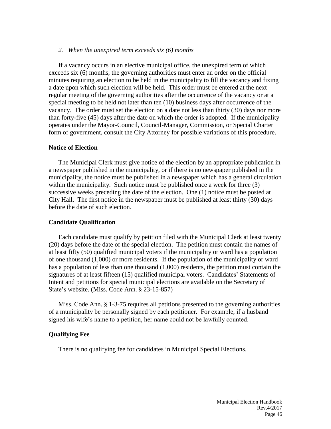#### *2. When the unexpired term exceeds six (6) months*

If a vacancy occurs in an elective municipal office, the unexpired term of which exceeds six (6) months, the governing authorities must enter an order on the official minutes requiring an election to be held in the municipality to fill the vacancy and fixing a date upon which such election will be held. This order must be entered at the next regular meeting of the governing authorities after the occurrence of the vacancy or at a special meeting to be held not later than ten (10) business days after occurrence of the vacancy. The order must set the election on a date not less than thirty (30) days nor more than forty-five (45) days after the date on which the order is adopted. If the municipality operates under the Mayor-Council, Council-Manager, Commission, or Special Charter form of government, consult the City Attorney for possible variations of this procedure.

#### **Notice of Election**

The Municipal Clerk must give notice of the election by an appropriate publication in a newspaper published in the municipality, or if there is no newspaper published in the municipality, the notice must be published in a newspaper which has a general circulation within the municipality. Such notice must be published once a week for three (3) successive weeks preceding the date of the election. One (1) notice must be posted at City Hall. The first notice in the newspaper must be published at least thirty (30) days before the date of such election.

#### **Candidate Qualification**

Each candidate must qualify by petition filed with the Municipal Clerk at least twenty (20) days before the date of the special election. The petition must contain the names of at least fifty (50) qualified municipal voters if the municipality or ward has a population of one thousand (1,000) or more residents. If the population of the municipality or ward has a population of less than one thousand (1,000) residents, the petition must contain the signatures of at least fifteen (15) qualified municipal voters. Candidates' Statements of Intent and petitions for special municipal elections are available on the Secretary of State's website. (Miss. Code Ann. § 23-15-857)

Miss. Code Ann. § 1-3-75 requires all petitions presented to the governing authorities of a municipality be personally signed by each petitioner. For example, if a husband signed his wife's name to a petition, her name could not be lawfully counted.

#### **Qualifying Fee**

There is no qualifying fee for candidates in Municipal Special Elections.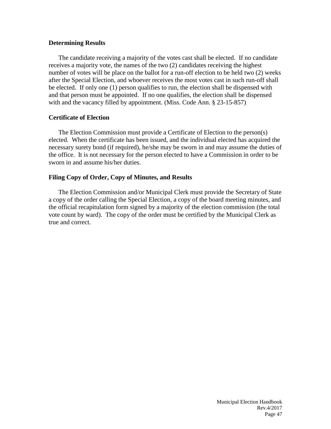#### **Determining Results**

The candidate receiving a majority of the votes cast shall be elected. If no candidate receives a majority vote, the names of the two (2) candidates receiving the highest number of votes will be place on the ballot for a run-off election to be held two (2) weeks after the Special Election, and whoever receives the most votes cast in such run-off shall be elected. If only one (1) person qualifies to run, the election shall be dispensed with and that person must be appointed. If no one qualifies, the election shall be dispensed with and the vacancy filled by appointment. (Miss. Code Ann. § 23-15-857)

#### **Certificate of Election**

The Election Commission must provide a Certificate of Election to the person(s) elected. When the certificate has been issued, and the individual elected has acquired the necessary surety bond (if required), he/she may be sworn in and may assume the duties of the office. It is not necessary for the person elected to have a Commission in order to be sworn in and assume his/her duties.

#### **Filing Copy of Order, Copy of Minutes, and Results**

The Election Commission and/or Municipal Clerk must provide the Secretary of State a copy of the order calling the Special Election, a copy of the board meeting minutes, and the official recapitulation form signed by a majority of the election commission (the total vote count by ward). The copy of the order must be certified by the Municipal Clerk as true and correct.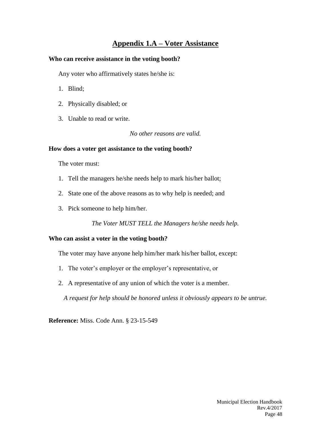# **Appendix 1.A – Voter Assistance**

#### **Who can receive assistance in the voting booth?**

Any voter who affirmatively states he/she is:

- 1. Blind;
- 2. Physically disabled; or
- 3. Unable to read or write.

*No other reasons are valid.*

#### **How does a voter get assistance to the voting booth?**

The voter must:

- 1. Tell the managers he/she needs help to mark his/her ballot;
- 2. State one of the above reasons as to why help is needed; and
- 3. Pick someone to help him/her.

*The Voter MUST TELL the Managers he/she needs help.*

#### **Who can assist a voter in the voting booth?**

The voter may have anyone help him/her mark his/her ballot, except:

- 1. The voter's employer or the employer's representative, or
- 2. A representative of any union of which the voter is a member.

*A request for help should be honored unless it obviously appears to be untrue.*

**Reference:** Miss. Code Ann. § 23-15-549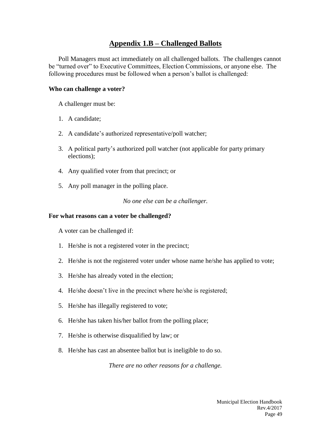# **Appendix 1.B – Challenged Ballots**

Poll Managers must act immediately on all challenged ballots. The challenges cannot be "turned over" to Executive Committees, Election Commissions, or anyone else. The following procedures must be followed when a person's ballot is challenged:

#### **Who can challenge a voter?**

A challenger must be:

- 1. A candidate;
- 2. A candidate's authorized representative/poll watcher;
- 3. A political party's authorized poll watcher (not applicable for party primary elections);
- 4. Any qualified voter from that precinct; or
- 5. Any poll manager in the polling place.

*No one else can be a challenger.*

#### **For what reasons can a voter be challenged?**

A voter can be challenged if:

- 1. He/she is not a registered voter in the precinct;
- 2. He/she is not the registered voter under whose name he/she has applied to vote;
- 3. He/she has already voted in the election;
- 4. He/she doesn't live in the precinct where he/she is registered;
- 5. He/she has illegally registered to vote;
- 6. He/she has taken his/her ballot from the polling place;
- 7. He/she is otherwise disqualified by law; or
- 8. He/she has cast an absentee ballot but is ineligible to do so.

*There are no other reasons for a challenge.*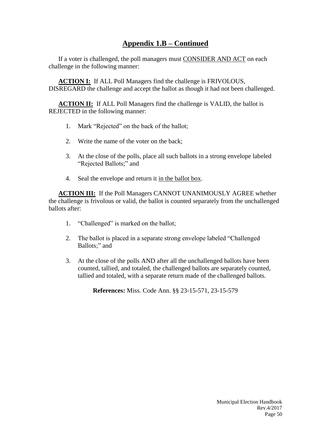# **Appendix 1.B – Continued**

If a voter is challenged, the poll managers must CONSIDER AND ACT on each challenge in the following manner:

**ACTION I:** If ALL Poll Managers find the challenge is FRIVOLOUS, DISREGARD the challenge and accept the ballot as though it had not been challenged.

**ACTION II:** If ALL Poll Managers find the challenge is VALID, the ballot is REJECTED in the following manner:

- 1. Mark "Rejected" on the back of the ballot;
- 2. Write the name of the voter on the back;
- 3. At the close of the polls, place all such ballots in a strong envelope labeled "Rejected Ballots;" and
- 4. Seal the envelope and return it in the ballot box.

**ACTION III:** If the Poll Managers CANNOT UNANIMOUSLY AGREE whether the challenge is frivolous or valid, the ballot is counted separately from the unchallenged ballots after:

- 1. "Challenged" is marked on the ballot;
- 2. The ballot is placed in a separate strong envelope labeled "Challenged Ballots;" and
- 3. At the close of the polls AND after all the unchallenged ballots have been counted, tallied, and totaled, the challenged ballots are separately counted, tallied and totaled, with a separate return made of the challenged ballots.

**References:** Miss. Code Ann. §§ 23-15-571, 23-15-579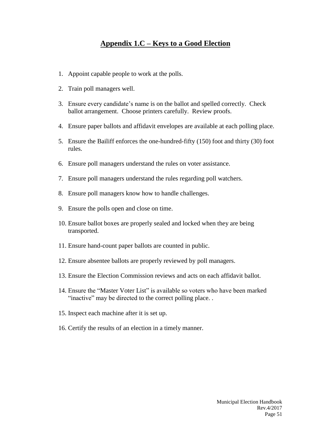# **Appendix 1.C – Keys to a Good Election**

- 1. Appoint capable people to work at the polls.
- 2. Train poll managers well.
- 3. Ensure every candidate's name is on the ballot and spelled correctly. Check ballot arrangement. Choose printers carefully. Review proofs.
- 4. Ensure paper ballots and affidavit envelopes are available at each polling place.
- 5. Ensure the Bailiff enforces the one-hundred-fifty (150) foot and thirty (30) foot rules.
- 6. Ensure poll managers understand the rules on voter assistance.
- 7. Ensure poll managers understand the rules regarding poll watchers.
- 8. Ensure poll managers know how to handle challenges.
- 9. Ensure the polls open and close on time.
- 10. Ensure ballot boxes are properly sealed and locked when they are being transported.
- 11. Ensure hand-count paper ballots are counted in public.
- 12. Ensure absentee ballots are properly reviewed by poll managers.
- 13. Ensure the Election Commission reviews and acts on each affidavit ballot.
- 14. Ensure the "Master Voter List" is available so voters who have been marked "inactive" may be directed to the correct polling place. .
- 15. Inspect each machine after it is set up.
- 16. Certify the results of an election in a timely manner.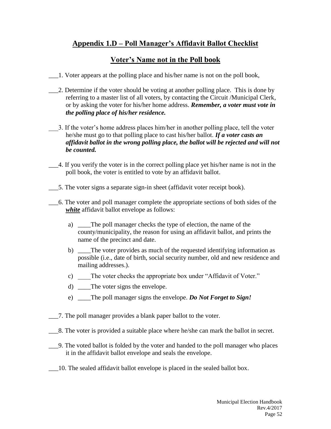# **Appendix 1.D – Poll Manager's Affidavit Ballot Checklist**

# **Voter's Name not in the Poll book**

- \_\_\_1. Voter appears at the polling place and his/her name is not on the poll book,
- \_\_\_2. Determine if the voter should be voting at another polling place. This is done by referring to a master list of all voters, by contacting the Circuit /Municipal Clerk, or by asking the voter for his/her home address. *Remember, a voter must vote in the polling place of his/her residence.*
- \_\_\_3. If the voter's home address places him/her in another polling place, tell the voter he/she must go to that polling place to cast his/her ballot. *If a voter casts an affidavit ballot in the wrong polling place, the ballot will be rejected and will not be counted.*
- \_\_\_4. If you verify the voter is in the correct polling place yet his/her name is not in the poll book, the voter is entitled to vote by an affidavit ballot.
- \_\_\_5. The voter signs a separate sign-in sheet (affidavit voter receipt book).
- \_\_\_6. The voter and poll manager complete the appropriate sections of both sides of the *white* affidavit ballot envelope as follows:
	- a) \_\_\_\_The poll manager checks the type of election, the name of the county/municipality, the reason for using an affidavit ballot, and prints the name of the precinct and date.
	- b) \_\_\_\_The voter provides as much of the requested identifying information as possible (i.e., date of birth, social security number, old and new residence and mailing addresses.).
	- c) The voter checks the appropriate box under "Affidavit of Voter."
	- d) The voter signs the envelope.
	- e) \_\_\_\_The poll manager signs the envelope. *Do Not Forget to Sign!*
- \_\_\_7. The poll manager provides a blank paper ballot to the voter.
- \_\_\_8. The voter is provided a suitable place where he/she can mark the ballot in secret.
- \_\_\_9. The voted ballot is folded by the voter and handed to the poll manager who places it in the affidavit ballot envelope and seals the envelope.
- \_\_\_10. The sealed affidavit ballot envelope is placed in the sealed ballot box.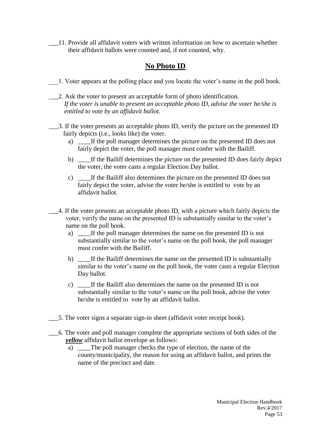\_\_\_11. Provide all affidavit voters with written information on how to ascertain whether their affidavit ballots were counted and, if not counted, why.

# **No Photo ID**

- \_\_\_1. Voter appears at the polling place and you locate the voter's name in the poll book.
- \_\_\_2. Ask the voter to present an acceptable form of photo identification. *If the voter is unable to present an acceptable photo ID, advise the voter he/she is entitled to vote by an affidavit ballot.*
- \_\_\_3. If the voter presents an acceptable photo ID, verify the picture on the presented ID fairly depicts (i.e., looks like) the voter.
	- a) \_\_\_\_If the poll manager determines the picture on the presented ID does not fairly depict the voter, the poll manager must confer with the Bailiff.
	- b) \_\_\_\_If the Bailiff determines the picture on the presented ID does fairly depict the voter, the voter casts a regular Election Day ballot.
	- c) \_\_\_\_If the Bailiff also determines the picture on the presented ID does not fairly depict the voter, advise the voter he/she is entitled to vote by an affidavit ballot.
- \_\_\_4. If the voter presents an acceptable photo ID, with a picture which fairly depicts the voter, verify the name on the presented ID is substantially similar to the voter's name on the poll book.
	- a) \_\_\_\_If the poll manager determines the name on the presented ID is not substantially similar to the voter's name on the poll book, the poll manager must confer with the Bailiff.
	- b) \_\_\_\_If the Bailiff determines the name on the presented ID is substantially similar to the voter's name on the poll book, the voter casts a regular Election Day ballot.
	- c) \_\_\_\_If the Bailiff also determines the name on the presented ID is not substantially similar to the voter's name on the poll book, advise the voter he/she is entitled to vote by an affidavit ballot.
- \_\_\_5. The voter signs a separate sign-in sheet (affidavit voter receipt book).
- \_\_\_6. The voter and poll manager complete the appropriate sections of both sides of the *yellow* affidavit ballot envelope as follows:
	- a) \_\_\_\_The poll manager checks the type of election, the name of the county/municipality, the reason for using an affidavit ballot, and prints the name of the precinct and date.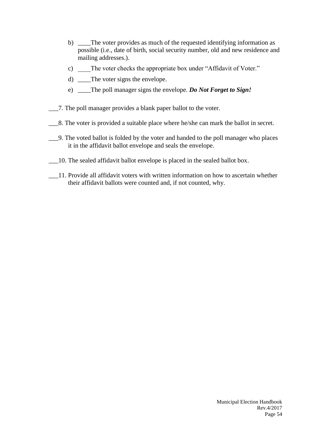- b) \_\_\_\_The voter provides as much of the requested identifying information as possible (i.e., date of birth, social security number, old and new residence and mailing addresses.).
- c) The voter checks the appropriate box under "Affidavit of Voter."
- d) \_\_\_The voter signs the envelope.
- e) \_\_\_\_The poll manager signs the envelope. *Do Not Forget to Sign!*
- \_\_\_7. The poll manager provides a blank paper ballot to the voter.
- \_\_\_8. The voter is provided a suitable place where he/she can mark the ballot in secret.
- \_\_\_9. The voted ballot is folded by the voter and handed to the poll manager who places it in the affidavit ballot envelope and seals the envelope.
- \_\_\_10. The sealed affidavit ballot envelope is placed in the sealed ballot box.
- \_\_\_11. Provide all affidavit voters with written information on how to ascertain whether their affidavit ballots were counted and, if not counted, why.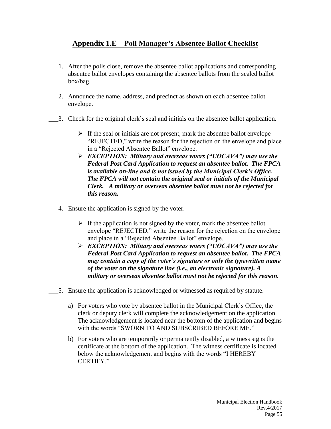# **Appendix 1.E – Poll Manager's Absentee Ballot Checklist**

- \_\_\_1. After the polls close, remove the absentee ballot applications and corresponding absentee ballot envelopes containing the absentee ballots from the sealed ballot box/bag.
- \_\_\_2. Announce the name, address, and precinct as shown on each absentee ballot envelope.
- \_\_\_3. Check for the original clerk's seal and initials on the absentee ballot application.
	- $\triangleright$  If the seal or initials are not present, mark the absentee ballot envelope "REJECTED," write the reason for the rejection on the envelope and place in a "Rejected Absentee Ballot" envelope.
	- *EXCEPTION: Military and overseas voters ("UOCAVA") may use the Federal Post Card Application to request an absentee ballot. The FPCA is available on-line and is not issued by the Municipal Clerk's Office. The FPCA will not contain the original seal or initials of the Municipal Clerk. A military or overseas absentee ballot must not be rejected for this reason.*
- \_\_\_4. Ensure the application is signed by the voter.
	- $\triangleright$  If the application is not signed by the voter, mark the absentee ballot envelope "REJECTED," write the reason for the rejection on the envelope and place in a "Rejected Absentee Ballot" envelope.
	- *EXCEPTION: Military and overseas voters ("UOCAVA") may use the Federal Post Card Application to request an absentee ballot. The FPCA may contain a copy of the voter's signature or only the typewritten name of the voter on the signature line (i.e., an electronic signature). A military or overseas absentee ballot must not be rejected for this reason.*
- \_\_\_5. Ensure the application is acknowledged or witnessed as required by statute.
	- a) For voters who vote by absentee ballot in the Municipal Clerk's Office, the clerk or deputy clerk will complete the acknowledgement on the application. The acknowledgement is located near the bottom of the application and begins with the words "SWORN TO AND SUBSCRIBED BEFORE ME."
	- b) For voters who are temporarily or permanently disabled, a witness signs the certificate at the bottom of the application. The witness certificate is located below the acknowledgement and begins with the words "I HEREBY CERTIFY."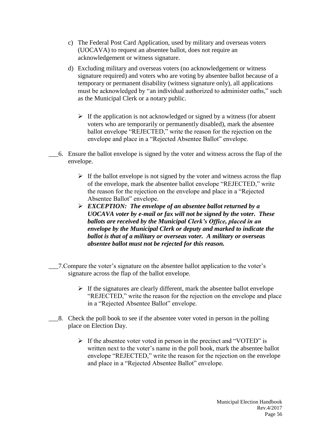- c) The Federal Post Card Application, used by military and overseas voters (UOCAVA) to request an absentee ballot, does not require an acknowledgement or witness signature.
- d) Excluding military and overseas voters (no acknowledgement or witness signature required) and voters who are voting by absentee ballot because of a temporary or permanent disability (witness signature only), all applications must be acknowledged by "an individual authorized to administer oaths," such as the Municipal Clerk or a notary public.
	- $\triangleright$  If the application is not acknowledged or signed by a witness (for absent voters who are temporarily or permanently disabled), mark the absentee ballot envelope "REJECTED," write the reason for the rejection on the envelope and place in a "Rejected Absentee Ballot" envelope.
- \_\_\_6. Ensure the ballot envelope is signed by the voter and witness across the flap of the envelope.
	- $\triangleright$  If the ballot envelope is not signed by the voter and witness across the flap of the envelope, mark the absentee ballot envelope "REJECTED," write the reason for the rejection on the envelope and place in a "Rejected Absentee Ballot" envelope.
	- *EXCEPTION: The envelope of an absentee ballot returned by a UOCAVA voter by e-mail or fax will not be signed by the voter. These ballots are received by the Municipal Clerk's Office, placed in an envelope by the Municipal Clerk or deputy and marked to indicate the ballot is that of a military or overseas voter. A military or overseas absentee ballot must not be rejected for this reason.*
- \_\_\_7.Compare the voter's signature on the absentee ballot application to the voter's signature across the flap of the ballot envelope.
	- $\triangleright$  If the signatures are clearly different, mark the absentee ballot envelope "REJECTED," write the reason for the rejection on the envelope and place in a "Rejected Absentee Ballot" envelope.
- \_\_\_8. Check the poll book to see if the absentee voter voted in person in the polling place on Election Day.
	- $\triangleright$  If the absentee voter voted in person in the precinct and "VOTED" is written next to the voter's name in the poll book, mark the absentee ballot envelope "REJECTED," write the reason for the rejection on the envelope and place in a "Rejected Absentee Ballot" envelope.